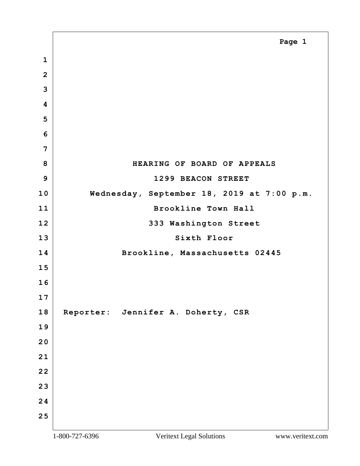<span id="page-0-0"></span> **8 HEARING OF BOARD OF APPEALS 9 1299 BEACON STREET 10 Wednesday, September 18, 2019 at 7:00 p.m. 11 Brookline Town Hall** 12 333 Washington Street Sixth Floor **14 Brookline, Massachusetts 02445 Reporter: Jennifer A. Doherty, CSR Page 1**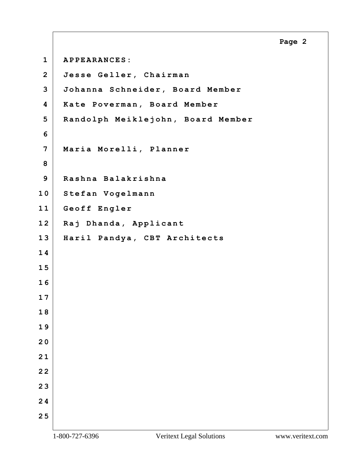<span id="page-1-0"></span>**1 APPEARANCES: 2 Jesse Geller, Chairman 3 Johanna Schneider, Board Member 4 Kate Poverman, Board Member 5 Randolph Meiklejohn, Board Member 6 7 Maria Morelli, Planner 8 9 Rashna Balakrishna 1 0 Stefan Vogelmann 1 1 Geoff Engler 1 2 Raj Dhanda, Applicant 1 3 Haril Pandya, CBT Architects 1 4 1 5 1 6 1 7 1 8 1 9 2 0 2 1 2 2 2 3 2 4 2 5**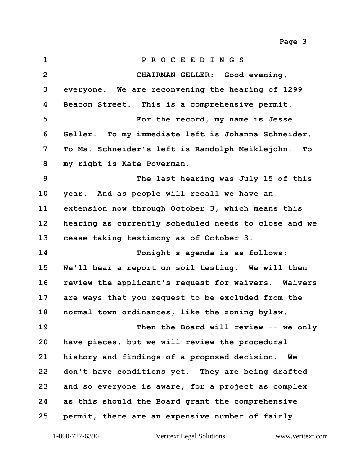<span id="page-2-0"></span>**1 P R O C E E D I N G S 2 CHAIRMAN GELLER: Good evening, everyone. We are reconvening the hearing of 1299 Beacon Street. This is a comprehensive permit. 5 For the record, my name is Jesse Geller. To my immediate left is Johanna Schneider. To Ms. Schneider's left is Randolph Meiklejohn. To my right is Kate Poverman. 9 The last hearing was July 15 of this year. And as people will recall we have an extension now through October 3, which means this hearing as currently scheduled needs to close and we cease taking testimony as of October 3. 14 Tonight's agenda is as follows: We'll hear a report on soil testing. We will then review the applicant's request for waivers. Waivers are ways that you request to be excluded from the normal town ordinances, like the zoning bylaw. 19 Then the Board will review -- we only have pieces, but we will review the procedural history and findings of a proposed decision. We don't have conditions yet. They are being drafted and so everyone is aware, for a project as complex as this should the Board grant the comprehensive permit, there are an expensive number of fairly Page 3**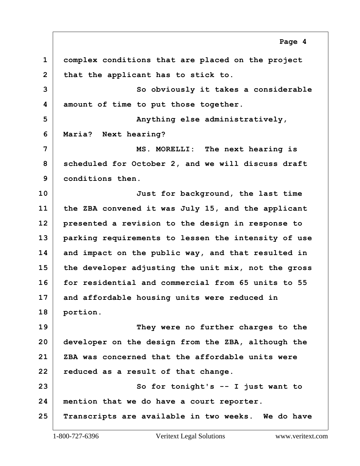<span id="page-3-0"></span> **complex conditions that are placed on the project that the applicant has to stick to.** So obviously it takes a considerable **amount of time to put those together.** Anything else administratively, **Maria? Next hearing? 7 MS. MORELLI: The next hearing is scheduled for October 2, and we will discuss draft conditions then. 10 Just for background, the last time the ZBA convened it was July 15, and the applicant presented a revision to the design in response to parking requirements to lessen the intensity of use and impact on the public way, and that resulted in the developer adjusting the unit mix, not the gross for residential and commercial from 65 units to 55 and affordable housing units were reduced in portion. 19 They were no further charges to the developer on the design from the ZBA, although the ZBA was concerned that the affordable units were reduced as a result of that change.** 23 So for tonight's -- I just want to **mention that we do have a court reporter. Transcripts are available in two weeks. We do have**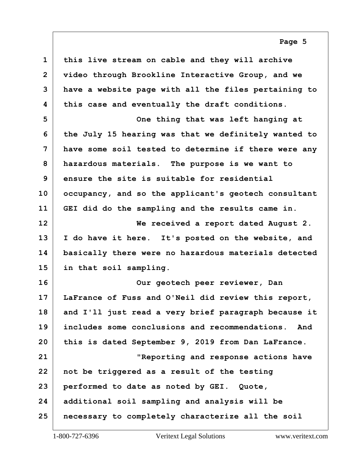<span id="page-4-0"></span> **this live stream on cable and they will archive video through Brookline Interactive Group, and we have a website page with all the files pertaining to this case and eventually the draft conditions.** One thing that was left hanging at **the July 15 hearing was that we definitely wanted to have some soil tested to determine if there were any hazardous materials. The purpose is we want to ensure the site is suitable for residential occupancy, and so the applicant's geotech consultant GEI did do the sampling and the results came in. 12 We received a report dated August 2. I do have it here. It's posted on the website, and**

 **basically there were no hazardous materials detected in that soil sampling.**

**16 Our geotech peer reviewer, Dan LaFrance of Fuss and O'Neil did review this report, and I'll just read a very brief paragraph because it includes some conclusions and recommendations. And this is dated September 9, 2019 from Dan LaFrance. 21 "Reporting and response actions have not be triggered as a result of the testing performed to date as noted by GEI. Quote, additional soil sampling and analysis will be necessary to completely characterize all the soil**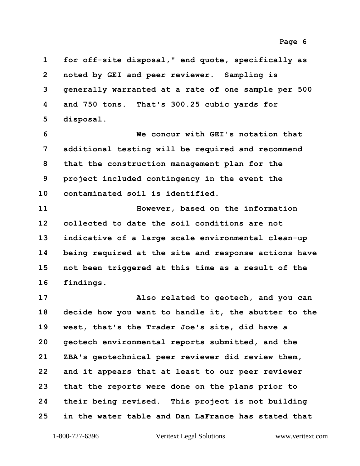<span id="page-5-0"></span> **for off-site disposal," end quote, specifically as noted by GEI and peer reviewer. Sampling is generally warranted at a rate of one sample per 500 and 750 tons. That's 300.25 cubic yards for disposal.**

**6 We concur with GEI's notation that additional testing will be required and recommend that the construction management plan for the project included contingency in the event the contaminated soil is identified.**

**11 However, based on the information collected to date the soil conditions are not indicative of a large scale environmental clean-up being required at the site and response actions have not been triggered at this time as a result of the findings.**

**17 Also related to geotech, and you can decide how you want to handle it, the abutter to the west, that's the Trader Joe's site, did have a geotech environmental reports submitted, and the ZBA's geotechnical peer reviewer did review them, and it appears that at least to our peer reviewer that the reports were done on the plans prior to their being revised. This project is not building in the water table and Dan LaFrance has stated that**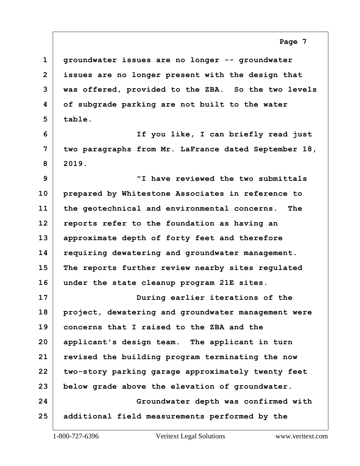<span id="page-6-0"></span> **groundwater issues are no longer -- groundwater issues are no longer present with the design that was offered, provided to the ZBA. So the two levels of subgrade parking are not built to the water table.**

**6 If you like, I can briefly read just two paragraphs from Mr. LaFrance dated September 18, 2019.**

**9 "I have reviewed the two submittals prepared by Whitestone Associates in reference to the geotechnical and environmental concerns. The reports refer to the foundation as having an approximate depth of forty feet and therefore requiring dewatering and groundwater management. The reports further review nearby sites regulated under the state cleanup program 21E sites.**

**17 During earlier iterations of the project, dewatering and groundwater management were concerns that I raised to the ZBA and the applicant's design team. The applicant in turn revised the building program terminating the now two-story parking garage approximately twenty feet below grade above the elevation of groundwater. 24 Groundwater depth was confirmed with additional field measurements performed by the**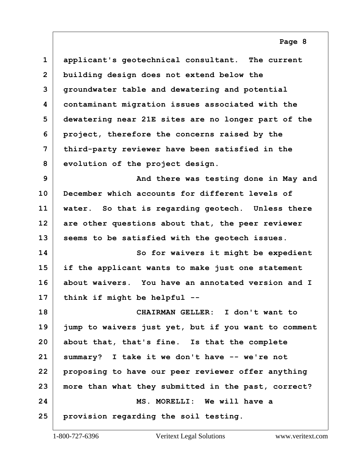<span id="page-7-0"></span> **applicant's geotechnical consultant. The current building design does not extend below the groundwater table and dewatering and potential contaminant migration issues associated with the dewatering near 21E sites are no longer part of the project, therefore the concerns raised by the third-party reviewer have been satisfied in the evolution of the project design.**

**9 And there was testing done in May and December which accounts for different levels of water. So that is regarding geotech. Unless there are other questions about that, the peer reviewer seems to be satisfied with the geotech issues.**

**14 So for waivers it might be expedient if the applicant wants to make just one statement about waivers. You have an annotated version and I think if might be helpful --**

**18 CHAIRMAN GELLER: I don't want to jump to waivers just yet, but if you want to comment about that, that's fine. Is that the complete summary? I take it we don't have -- we're not proposing to have our peer reviewer offer anything more than what they submitted in the past, correct? 24 MS. MORELLI: We will have a provision regarding the soil testing.**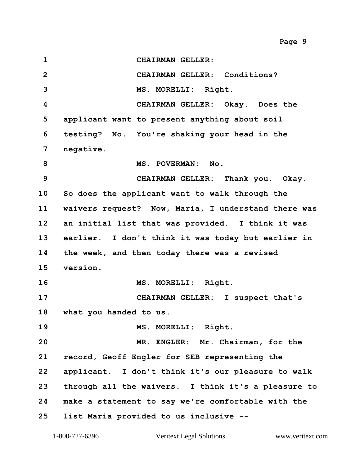<span id="page-8-0"></span>**1 CHAIRMAN GELLER: 2 CHAIRMAN GELLER: Conditions? 3 MS. MORELLI: Right. 4 CHAIRMAN GELLER: Okay. Does the 5 applicant want to present anything about soil 6 testing? No. You're shaking your head in the 7 negative.** 8 MS. POVERMAN: No. **9 CHAIRMAN GELLER: Thank you. Okay. 10 So does the applicant want to walk through the 11 waivers request? Now, Maria, I understand there was 12 an initial list that was provided. I think it was 13 earlier. I don't think it was today but earlier in 14 the week, and then today there was a revised 15 version. 16 MS. MORELLI: Right. 17 CHAIRMAN GELLER: I suspect that's 18 what you handed to us. 19 MS. MORELLI: Right. 20 MR. ENGLER: Mr. Chairman, for the 21 record, Geoff Engler for SEB representing the 22 applicant. I don't think it's our pleasure to walk 23 through all the waivers. I think it's a pleasure to 24 make a statement to say we're comfortable with the 25 list Maria provided to us inclusive -- Page 9**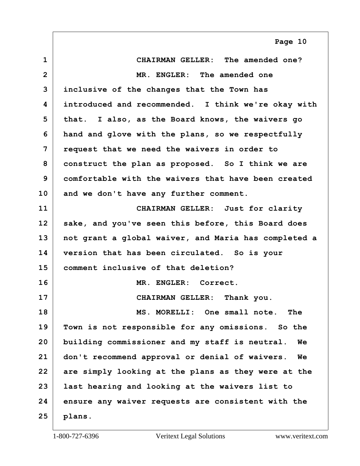<span id="page-9-0"></span>

| $\mathbf{1}$ | CHAIRMAN GELLER: The amended one?                           |
|--------------|-------------------------------------------------------------|
| $\mathbf{2}$ | MR. ENGLER: The amended one                                 |
| 3            | inclusive of the changes that the Town has                  |
| 4            | introduced and recommended. I think we're okay with         |
| 5            | that. I also, as the Board knows, the waivers go            |
| 6            | hand and glove with the plans, so we respectfully           |
| 7            | request that we need the waivers in order to                |
| 8            | construct the plan as proposed. So I think we are           |
| 9            | comfortable with the waivers that have been created         |
| 10           | and we don't have any further comment.                      |
| 11           | CHAIRMAN GELLER: Just for clarity                           |
| 12           | sake, and you've seen this before, this Board does          |
| 13           | not grant a global waiver, and Maria has completed a        |
| 14           | version that has been circulated. So is your                |
| 15           | comment inclusive of that deletion?                         |
| 16           | MR. ENGLER: Correct.                                        |
| 17           | CHAIRMAN GELLER: Thank you.                                 |
| 18           | MS. MORELLI: One small note.<br>The                         |
| 19           | Town is not responsible for any omissions. So the           |
| 20           | building commissioner and my staff is neutral.<br><b>We</b> |
| 21           | don't recommend approval or denial of waivers.<br>We        |
| 22           | are simply looking at the plans as they were at the         |
| 23           | last hearing and looking at the waivers list to             |
| 24           | ensure any waiver requests are consistent with the          |
| 25           | plans.                                                      |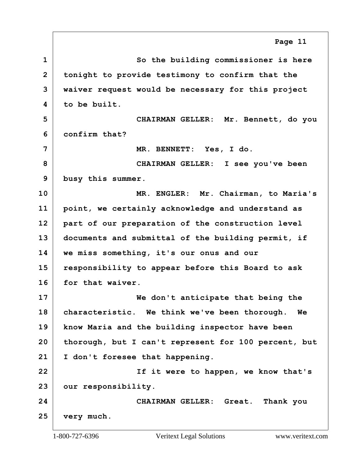<span id="page-10-0"></span>**1 So the building commissioner is here tonight to provide testimony to confirm that the waiver request would be necessary for this project to be built. 5 CHAIRMAN GELLER: Mr. Bennett, do you confirm that? 7 MR. BENNETT: Yes, I do. 8 CHAIRMAN GELLER: I see you've been busy this summer. 10 MR. ENGLER: Mr. Chairman, to Maria's point, we certainly acknowledge and understand as part of our preparation of the construction level documents and submittal of the building permit, if we miss something, it's our onus and our responsibility to appear before this Board to ask for that waiver. 17 We don't anticipate that being the characteristic. We think we've been thorough. We know Maria and the building inspector have been thorough, but I can't represent for 100 percent, but I don't foresee that happening. 22 If it were to happen, we know that's our responsibility. 24 CHAIRMAN GELLER: Great. Thank you very much. Page 11**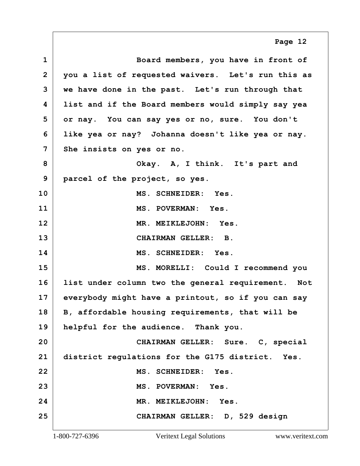<span id="page-11-0"></span>**1 Board members, you have in front of 2 you a list of requested waivers. Let's run this as 3 we have done in the past. Let's run through that 4 list and if the Board members would simply say yea 5 or nay. You can say yes or no, sure. You don't 6 like yea or nay? Johanna doesn't like yea or nay. 7 She insists on yes or no. 8 Okay. A, I think. It's part and 9 parcel of the project, so yes. 10 MS. SCHNEIDER: Yes. 11 MS. POVERMAN: Yes. 12 MR. MEIKLEJOHN: Yes. 13 CHAIRMAN GELLER: B. 14 MS. SCHNEIDER: Yes. 15 MS. MORELLI: Could I recommend you 16 list under column two the general requirement. Not 17 everybody might have a printout, so if you can say 18 B, affordable housing requirements, that will be 19 helpful for the audience. Thank you. 20 CHAIRMAN GELLER: Sure. C, special 21 district regulations for the G175 district. Yes. 22 MS. SCHNEIDER: Yes. 23 MS. POVERMAN: Yes. 24 MR. MEIKLEJOHN: Yes. 25 CHAIRMAN GELLER: D, 529 design Page 12**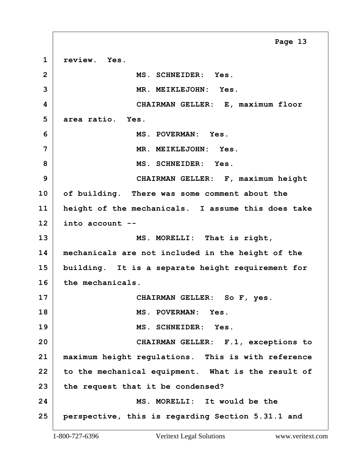<span id="page-12-0"></span>**1 review. Yes. 2 MS. SCHNEIDER: Yes. 3 MR. MEIKLEJOHN: Yes. 4 CHAIRMAN GELLER: E, maximum floor 5 area ratio. Yes. 6 MS. POVERMAN: Yes. 7 MR. MEIKLEJOHN: Yes. 8 MS. SCHNEIDER: Yes. 9 CHAIRMAN GELLER: F, maximum height 10 of building. There was some comment about the 11 height of the mechanicals. I assume this does take 12 into account --** 13 MS. MORELLI: That is right, **14 mechanicals are not included in the height of the 15 building. It is a separate height requirement for 16 the mechanicals. 17 CHAIRMAN GELLER: So F, yes. 18 MS. POVERMAN: Yes. 19 MS. SCHNEIDER: Yes. 20 CHAIRMAN GELLER: F.1, exceptions to 21 maximum height regulations. This is with reference 22 to the mechanical equipment. What is the result of 23 the request that it be condensed? 24 MS. MORELLI: It would be the 25 perspective, this is regarding Section 5.31.1 and Page 13**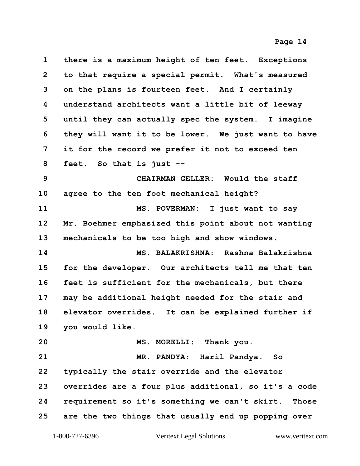<span id="page-13-0"></span>

| $\mathbf{1}$   | there is a maximum height of ten feet. Exceptions    |
|----------------|------------------------------------------------------|
| $\overline{2}$ | to that require a special permit. What's measured    |
| 3              | on the plans is fourteen feet. And I certainly       |
| 4              | understand architects want a little bit of leeway    |
| 5              | until they can actually spec the system. I imagine   |
| 6              | they will want it to be lower. We just want to have  |
| 7              | it for the record we prefer it not to exceed ten     |
| 8              | feet. So that is just --                             |
| 9              | CHAIRMAN GELLER: Would the staff                     |
| 10             | agree to the ten foot mechanical height?             |
| 11             | MS. POVERMAN: I just want to say                     |
| 12             | Mr. Boehmer emphasized this point about not wanting  |
| 13             | mechanicals to be too high and show windows.         |
| 14             | MS. BALAKRISHNA: Rashna Balakrishna                  |
| 15             | for the developer. Our architects tell me that ten   |
| 16             | feet is sufficient for the mechanicals, but there    |
| 17             | may be additional height needed for the stair and    |
| 18             | elevator overrides. It can be explained further if   |
| 19             | you would like.                                      |
| 20             | MS. MORELLI: Thank you.                              |
| 21             | MR. PANDYA: Haril Pandya. So                         |
| 22             | typically the stair override and the elevator        |
| 23             | overrides are a four plus additional, so it's a code |
| 24             | requirement so it's something we can't skirt. Those  |
| 25             | are the two things that usually end up popping over  |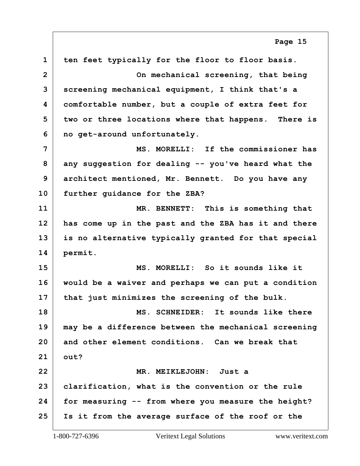<span id="page-14-0"></span> **ten feet typically for the floor to floor basis. 2 On mechanical screening, that being screening mechanical equipment, I think that's a comfortable number, but a couple of extra feet for two or three locations where that happens. There is no get-around unfortunately. 7 MS. MORELLI: If the commissioner has any suggestion for dealing -- you've heard what the architect mentioned, Mr. Bennett. Do you have any further guidance for the ZBA? 11 MR. BENNETT: This is something that has come up in the past and the ZBA has it and there is no alternative typically granted for that special permit. 15 MS. MORELLI: So it sounds like it would be a waiver and perhaps we can put a condition that just minimizes the screening of the bulk. 18 MS. SCHNEIDER: It sounds like there may be a difference between the mechanical screening and other element conditions. Can we break that out? 22 MR. MEIKLEJOHN: Just a clarification, what is the convention or the rule for measuring -- from where you measure the height? Is it from the average surface of the roof or the**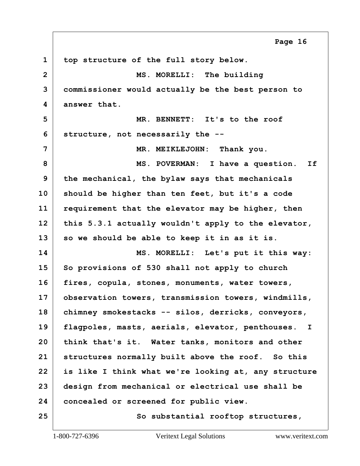<span id="page-15-0"></span> **top structure of the full story below. 2 MS. MORELLI: The building commissioner would actually be the best person to answer that. 5 MR. BENNETT: It's to the roof structure, not necessarily the --** MR. MEIKLEJOHN: Thank you. **8 MS. POVERMAN: I have a question. If the mechanical, the bylaw says that mechanicals should be higher than ten feet, but it's a code requirement that the elevator may be higher, then this 5.3.1 actually wouldn't apply to the elevator, so we should be able to keep it in as it is. 14 MS. MORELLI: Let's put it this way: So provisions of 530 shall not apply to church fires, copula, stones, monuments, water towers, observation towers, transmission towers, windmills, chimney smokestacks -- silos, derricks, conveyors, flagpoles, masts, aerials, elevator, penthouses. I think that's it. Water tanks, monitors and other structures normally built above the roof. So this is like I think what we're looking at, any structure design from mechanical or electrical use shall be concealed or screened for public view.** 25 So substantial rooftop structures, **Page 16**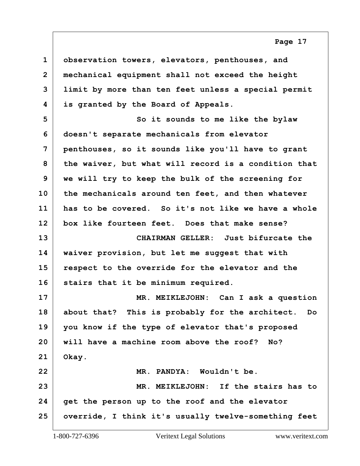<span id="page-16-0"></span>

| $\mathbf 1$    | observation towers, elevators, penthouses, and       |
|----------------|------------------------------------------------------|
| $\overline{2}$ | mechanical equipment shall not exceed the height     |
| 3              | limit by more than ten feet unless a special permit  |
| 4              | is granted by the Board of Appeals.                  |
| 5              | So it sounds to me like the bylaw                    |
| 6              | doesn't separate mechanicals from elevator           |
| 7              | penthouses, so it sounds like you'll have to grant   |
| 8              | the waiver, but what will record is a condition that |
| 9              | we will try to keep the bulk of the screening for    |
| 10             | the mechanicals around ten feet, and then whatever   |
| 11             | has to be covered. So it's not like we have a whole  |
| 12             | box like fourteen feet. Does that make sense?        |
| 13             | CHAIRMAN GELLER: Just bifurcate the                  |
| 14             | waiver provision, but let me suggest that with       |
| 15             | respect to the override for the elevator and the     |
| 16             | stairs that it be minimum required.                  |
| 17             | MR. MEIKLEJOHN: Can I ask a question                 |
| 18             | about that? This is probably for the architect. Do   |
| 19             | you know if the type of elevator that's proposed     |
| 20             | will have a machine room above the roof? No?         |
| 21             | Okay.                                                |
| 22             | MR. PANDYA: Wouldn't be.                             |
| 23             | MR. MEIKLEJOHN: If the stairs has to                 |
| 24             | get the person up to the roof and the elevator       |
| 25             | override, I think it's usually twelve-something feet |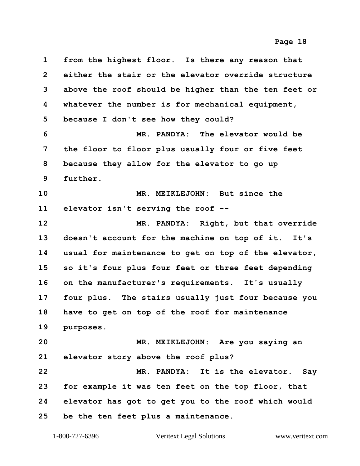<span id="page-17-0"></span> **from the highest floor. Is there any reason that either the stair or the elevator override structure above the roof should be higher than the ten feet or whatever the number is for mechanical equipment, because I don't see how they could? 6 MR. PANDYA: The elevator would be the floor to floor plus usually four or five feet because they allow for the elevator to go up further. 10 MR. MEIKLEJOHN: But since the elevator isn't serving the roof -- 12 MR. PANDYA: Right, but that override doesn't account for the machine on top of it. It's usual for maintenance to get on top of the elevator, so it's four plus four feet or three feet depending on the manufacturer's requirements. It's usually four plus. The stairs usually just four because you have to get on top of the roof for maintenance purposes. 20 MR. MEIKLEJOHN: Are you saying an elevator story above the roof plus?**

**22 MR. PANDYA: It is the elevator. Say for example it was ten feet on the top floor, that elevator has got to get you to the roof which would be the ten feet plus a maintenance.**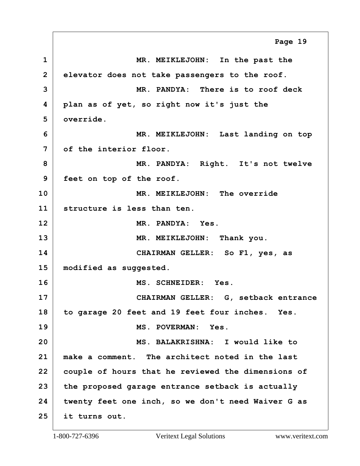<span id="page-18-0"></span>**1 MR. MEIKLEJOHN: In the past the 2 elevator does not take passengers to the roof. 3 MR. PANDYA: There is to roof deck 4 plan as of yet, so right now it's just the 5 override. 6 MR. MEIKLEJOHN: Last landing on top 7 of the interior floor. 8 MR. PANDYA: Right. It's not twelve 9 feet on top of the roof. 10 MR. MEIKLEJOHN: The override 11 structure is less than ten. 12 MR. PANDYA: Yes.** 13 MR. MEIKLEJOHN: Thank you. **14 CHAIRMAN GELLER: So F1, yes, as 15 modified as suggested. 16 MS. SCHNEIDER: Yes. 17 CHAIRMAN GELLER: G, setback entrance 18 to garage 20 feet and 19 feet four inches. Yes. 19 MS. POVERMAN: Yes. 20 MS. BALAKRISHNA: I would like to 21 make a comment. The architect noted in the last 22 couple of hours that he reviewed the dimensions of 23 the proposed garage entrance setback is actually 24 twenty feet one inch, so we don't need Waiver G as 25 it turns out. Page 19**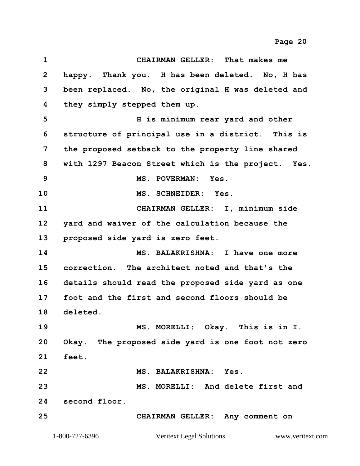<span id="page-19-0"></span>**1 CHAIRMAN GELLER: That makes me 2 happy. Thank you. H has been deleted. No, H has 3 been replaced. No, the original H was deleted and 4 they simply stepped them up. 5 H is minimum rear yard and other 6 structure of principal use in a district. This is 7 the proposed setback to the property line shared 8 with 1297 Beacon Street which is the project. Yes. 9 MS. POVERMAN: Yes. 10 MS. SCHNEIDER: Yes. 11 CHAIRMAN GELLER: I, minimum side 12 yard and waiver of the calculation because the 13 proposed side yard is zero feet. 14 MS. BALAKRISHNA: I have one more 15 correction. The architect noted and that's the 16 details should read the proposed side yard as one 17 foot and the first and second floors should be 18 deleted. 19 MS. MORELLI: Okay. This is in I. 20 Okay. The proposed side yard is one foot not zero 21 feet. 22 MS. BALAKRISHNA: Yes. 23 MS. MORELLI: And delete first and 24 second floor. 25 CHAIRMAN GELLER: Any comment on Page 20**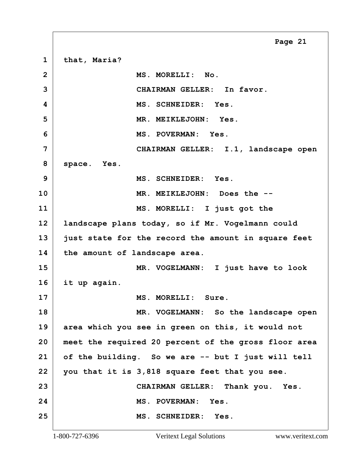<span id="page-20-0"></span>**1 that, Maria? 2 MS. MORELLI: No. 3 CHAIRMAN GELLER: In favor. 4 MS. SCHNEIDER: Yes. 5 MR. MEIKLEJOHN: Yes. 6 MS. POVERMAN: Yes. 7 CHAIRMAN GELLER: I.1, landscape open 8 space. Yes. 9 MS. SCHNEIDER: Yes. 10 MR. MEIKLEJOHN: Does the -- 11 MS. MORELLI: I just got the 12 landscape plans today, so if Mr. Vogelmann could 13 just state for the record the amount in square feet 14 the amount of landscape area. 15 MR. VOGELMANN: I just have to look 16 it up again. 17 MS. MORELLI: Sure. 18 MR. VOGELMANN: So the landscape open 19 area which you see in green on this, it would not 20 meet the required 20 percent of the gross floor area 21 of the building. So we are -- but I just will tell 22 you that it is 3,818 square feet that you see. 23 CHAIRMAN GELLER: Thank you. Yes. 24 MS. POVERMAN: Yes. 25 MS. SCHNEIDER: Yes. Page 21**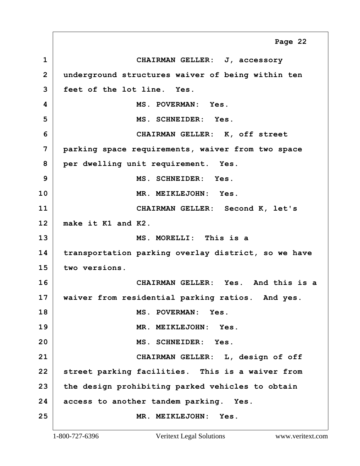<span id="page-21-0"></span>**1 CHAIRMAN GELLER: J, accessory 2 underground structures waiver of being within ten 3 feet of the lot line. Yes. 4 MS. POVERMAN: Yes. 5 MS. SCHNEIDER: Yes. 6 CHAIRMAN GELLER: K, off street 7 parking space requirements, waiver from two space 8 per dwelling unit requirement. Yes. 9 MS. SCHNEIDER: Yes. 10 MR. MEIKLEJOHN: Yes. 11 CHAIRMAN GELLER: Second K, let's 12 make it K1 and K2. 13 MS. MORELLI: This is a 14 transportation parking overlay district, so we have 15 two versions. 16 CHAIRMAN GELLER: Yes. And this is a 17 waiver from residential parking ratios. And yes. 18 MS. POVERMAN: Yes. 19 MR. MEIKLEJOHN: Yes. 20 MS. SCHNEIDER: Yes. 21 CHAIRMAN GELLER: L, design of off 22 street parking facilities. This is a waiver from 23 the design prohibiting parked vehicles to obtain 24 access to another tandem parking. Yes. 25 MR. MEIKLEJOHN: Yes. Page 22**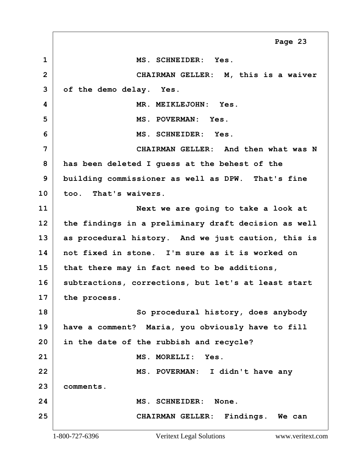<span id="page-22-0"></span>**1 MS. SCHNEIDER: Yes. 2 CHAIRMAN GELLER: M, this is a waiver 3 of the demo delay. Yes. 4 MR. MEIKLEJOHN: Yes. 5 MS. POVERMAN: Yes. 6 MS. SCHNEIDER: Yes. 7 CHAIRMAN GELLER: And then what was N 8 has been deleted I guess at the behest of the 9 building commissioner as well as DPW. That's fine 10 too. That's waivers. 11 Next we are going to take a look at 12 the findings in a preliminary draft decision as well 13 as procedural history. And we just caution, this is 14 not fixed in stone. I'm sure as it is worked on 15 that there may in fact need to be additions, 16 subtractions, corrections, but let's at least start 17 the process. 18 So procedural history, does anybody 19 have a comment? Maria, you obviously have to fill 20 in the date of the rubbish and recycle?** 21 MS. MORELLI: Yes. **22 MS. POVERMAN: I didn't have any 23 comments. 24 MS. SCHNEIDER: None. 25 CHAIRMAN GELLER: Findings. We can Page 23**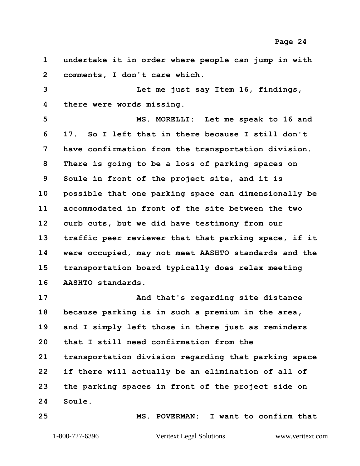<span id="page-23-0"></span> **undertake it in order where people can jump in with comments, I don't care which. 3 Let me just say Item 16, findings, there were words missing. 5 MS. MORELLI: Let me speak to 16 and 17. So I left that in there because I still don't have confirmation from the transportation division. There is going to be a loss of parking spaces on Soule in front of the project site, and it is possible that one parking space can dimensionally be accommodated in front of the site between the two curb cuts, but we did have testimony from our traffic peer reviewer that that parking space, if it were occupied, may not meet AASHTO standards and the transportation board typically does relax meeting AASHTO standards.** And that's regarding site distance **because parking is in such a premium in the area, and I simply left those in there just as reminders that I still need confirmation from the transportation division regarding that parking space if there will actually be an elimination of all of the parking spaces in front of the project side on Soule.**

**25 MS. POVERMAN: I want to confirm that**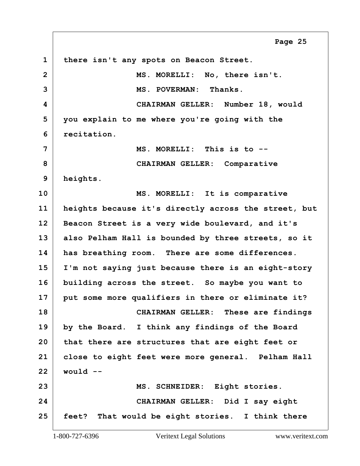<span id="page-24-0"></span>**1 there isn't any spots on Beacon Street. 2 MS. MORELLI: No, there isn't. 3 MS. POVERMAN: Thanks. 4 CHAIRMAN GELLER: Number 18, would 5 you explain to me where you're going with the 6 recitation. 7 MS. MORELLI: This is to -- 8 CHAIRMAN GELLER: Comparative 9 heights. 10 MS. MORELLI: It is comparative 11 heights because it's directly across the street, but 12 Beacon Street is a very wide boulevard, and it's 13 also Pelham Hall is bounded by three streets, so it 14 has breathing room. There are some differences. 15 I'm not saying just because there is an eight-story 16 building across the street. So maybe you want to 17 put some more qualifiers in there or eliminate it? 18 CHAIRMAN GELLER: These are findings 19 by the Board. I think any findings of the Board 20 that there are structures that are eight feet or 21 close to eight feet were more general. Pelham Hall 22 would -- 23 MS. SCHNEIDER: Eight stories. 24 CHAIRMAN GELLER: Did I say eight 25 feet? That would be eight stories. I think there Page 25**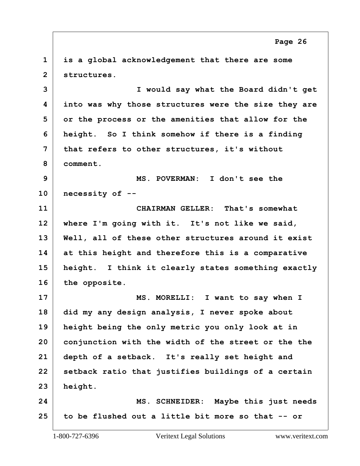<span id="page-25-0"></span> **is a global acknowledgement that there are some structures.**

**3 I would say what the Board didn't get into was why those structures were the size they are or the process or the amenities that allow for the height. So I think somehow if there is a finding that refers to other structures, it's without comment.**

**9 MS. POVERMAN: I don't see the necessity of --**

**11 CHAIRMAN GELLER: That's somewhat where I'm going with it. It's not like we said, Well, all of these other structures around it exist at this height and therefore this is a comparative height. I think it clearly states something exactly the opposite.**

**17 MS. MORELLI: I want to say when I did my any design analysis, I never spoke about height being the only metric you only look at in conjunction with the width of the street or the the depth of a setback. It's really set height and setback ratio that justifies buildings of a certain height.**

**24 MS. SCHNEIDER: Maybe this just needs to be flushed out a little bit more so that -- or**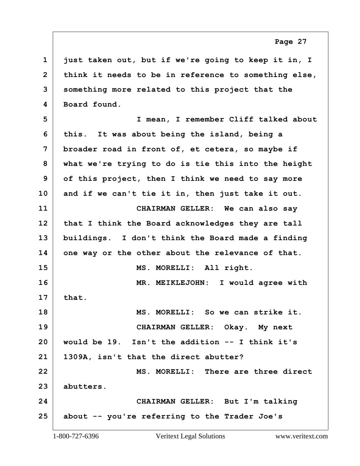<span id="page-26-0"></span> **just taken out, but if we're going to keep it in, I think it needs to be in reference to something else, something more related to this project that the Board found.**

**5 I mean, I remember Cliff talked about this. It was about being the island, being a broader road in front of, et cetera, so maybe if what we're trying to do is tie this into the height of this project, then I think we need to say more and if we can't tie it in, then just take it out. 11 CHAIRMAN GELLER: We can also say that I think the Board acknowledges they are tall buildings. I don't think the Board made a finding one way or the other about the relevance of that.** 15 MS. MORELLI: All right. **16 MR. MEIKLEJOHN: I would agree with that. 18 MS. MORELLI: So we can strike it. 19 CHAIRMAN GELLER: Okay. My next would be 19. Isn't the addition -- I think it's 1309A, isn't that the direct abutter? 22 MS. MORELLI: There are three direct abutters. 24 CHAIRMAN GELLER: But I'm talking about -- you're referring to the Trader Joe's**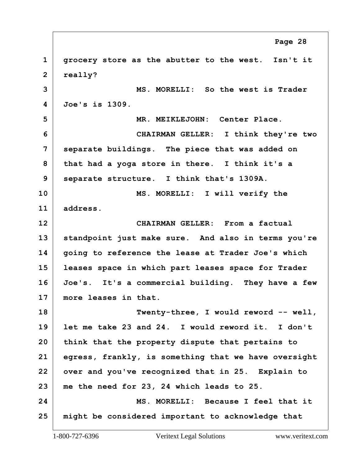<span id="page-27-0"></span> **grocery store as the abutter to the west. Isn't it really? 3 MS. MORELLI: So the west is Trader Joe's is 1309. 5 MR. MEIKLEJOHN: Center Place. 6 CHAIRMAN GELLER: I think they're two separate buildings. The piece that was added on that had a yoga store in there. I think it's a separate structure. I think that's 1309A. 10 MS. MORELLI: I will verify the address. 12 CHAIRMAN GELLER: From a factual standpoint just make sure. And also in terms you're going to reference the lease at Trader Joe's which leases space in which part leases space for Trader Joe's. It's a commercial building. They have a few more leases in that. 18 Twenty-three, I would reword -- well, let me take 23 and 24. I would reword it. I don't think that the property dispute that pertains to egress, frankly, is something that we have oversight over and you've recognized that in 25. Explain to me the need for 23, 24 which leads to 25. 24 MS. MORELLI: Because I feel that it might be considered important to acknowledge that Page 28**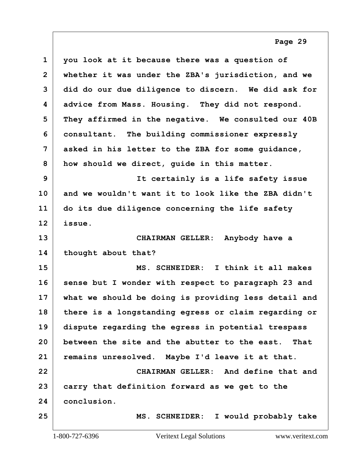<span id="page-28-0"></span>

| $\mathbf 1$  | you look at it because there was a question of       |
|--------------|------------------------------------------------------|
| $\mathbf{2}$ | whether it was under the ZBA's jurisdiction, and we  |
| 3            | did do our due diligence to discern. We did ask for  |
| 4            | advice from Mass. Housing. They did not respond.     |
| 5            | They affirmed in the negative. We consulted our 40B  |
| 6            | consultant. The building commissioner expressly      |
| 7            | asked in his letter to the ZBA for some guidance,    |
| 8            | how should we direct, guide in this matter.          |
| 9            | It certainly is a life safety issue                  |
| 10           | and we wouldn't want it to look like the ZBA didn't  |
| 11           | do its due diligence concerning the life safety      |
| 12           | issue.                                               |
| 13           | CHAIRMAN GELLER: Anybody have a                      |
| 14           | thought about that?                                  |
| 15           | MS. SCHNEIDER: I think it all makes                  |
| 16           | sense but I wonder with respect to paragraph 23 and  |
| 17           | what we should be doing is providing less detail and |
| 18           | there is a longstanding egress or claim regarding or |
| 19           | dispute regarding the egress in potential trespass   |
| 20           | between the site and the abutter to the east. That   |
| 21           | remains unresolved. Maybe I'd leave it at that.      |
| 22           | CHAIRMAN GELLER: And define that and                 |
| 23           | carry that definition forward as we get to the       |
| 24           | conclusion.                                          |
| 25           | MS. SCHNEIDER: I would probably take                 |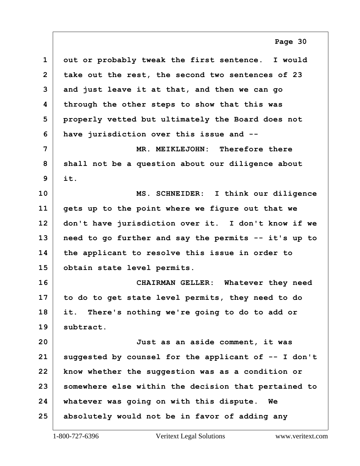<span id="page-29-0"></span> **out or probably tweak the first sentence. I would take out the rest, the second two sentences of 23 and just leave it at that, and then we can go through the other steps to show that this was properly vetted but ultimately the Board does not have jurisdiction over this issue and -- 7 MR. MEIKLEJOHN: Therefore there shall not be a question about our diligence about it. 10 MS. SCHNEIDER: I think our diligence gets up to the point where we figure out that we don't have jurisdiction over it. I don't know if we need to go further and say the permits -- it's up to the applicant to resolve this issue in order to obtain state level permits.**

**16 CHAIRMAN GELLER: Whatever they need to do to get state level permits, they need to do it. There's nothing we're going to do to add or subtract.**

**20 Just as an aside comment, it was suggested by counsel for the applicant of -- I don't know whether the suggestion was as a condition or somewhere else within the decision that pertained to whatever was going on with this dispute. We absolutely would not be in favor of adding any**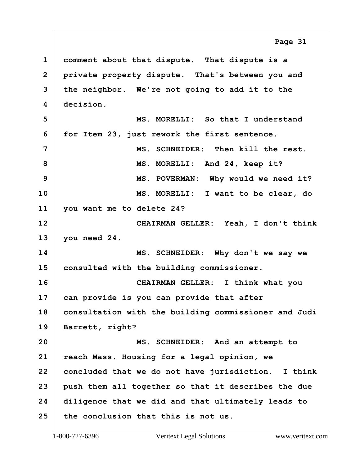<span id="page-30-0"></span> **comment about that dispute. That dispute is a private property dispute. That's between you and the neighbor. We're not going to add it to the decision. 5 MS. MORELLI: So that I understand for Item 23, just rework the first sentence. 7 MS. SCHNEIDER: Then kill the rest. 8 MS. MORELLI: And 24, keep it? 9 MS. POVERMAN: Why would we need it? 10 MS. MORELLI: I want to be clear, do you want me to delete 24? 12 CHAIRMAN GELLER: Yeah, I don't think you need 24. 14 MS. SCHNEIDER: Why don't we say we consulted with the building commissioner. 16 CHAIRMAN GELLER: I think what you can provide is you can provide that after consultation with the building commissioner and Judi Barrett, right? 20 MS. SCHNEIDER: And an attempt to reach Mass. Housing for a legal opinion, we concluded that we do not have jurisdiction. I think push them all together so that it describes the due diligence that we did and that ultimately leads to the conclusion that this is not us. Page 31**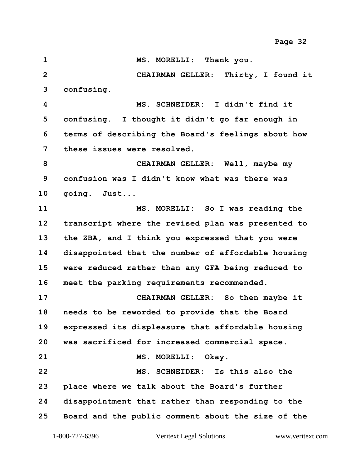<span id="page-31-0"></span>**1 MS. MORELLI: Thank you. 2 CHAIRMAN GELLER: Thirty, I found it confusing. 4 MS. SCHNEIDER: I didn't find it confusing. I thought it didn't go far enough in terms of describing the Board's feelings about how these issues were resolved. 8 CHAIRMAN GELLER: Well, maybe my confusion was I didn't know what was there was going. Just... 11 MS. MORELLI: So I was reading the transcript where the revised plan was presented to the ZBA, and I think you expressed that you were disappointed that the number of affordable housing were reduced rather than any GFA being reduced to meet the parking requirements recommended. 17 CHAIRMAN GELLER: So then maybe it needs to be reworded to provide that the Board expressed its displeasure that affordable housing was sacrificed for increased commercial space.** 21 MS. MORELLI: Okay. **22 MS. SCHNEIDER: Is this also the place where we talk about the Board's further disappointment that rather than responding to the Board and the public comment about the size of the Page 32**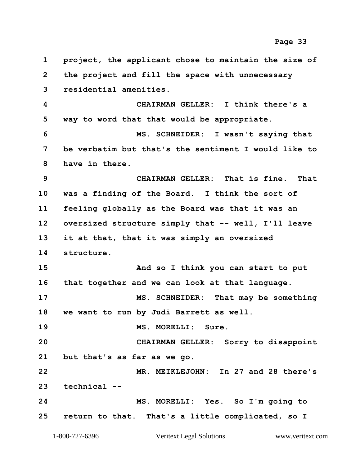<span id="page-32-0"></span> **project, the applicant chose to maintain the size of the project and fill the space with unnecessary residential amenities. 4 CHAIRMAN GELLER: I think there's a way to word that that would be appropriate. 6 MS. SCHNEIDER: I wasn't saying that be verbatim but that's the sentiment I would like to have in there. 9 CHAIRMAN GELLER: That is fine. That was a finding of the Board. I think the sort of feeling globally as the Board was that it was an oversized structure simply that -- well, I'll leave it at that, that it was simply an oversized structure.** 15 And so I think you can start to put **that together and we can look at that language. 17 MS. SCHNEIDER: That may be something we want to run by Judi Barrett as well. 19 MS. MORELLI: Sure. 20 CHAIRMAN GELLER: Sorry to disappoint but that's as far as we go. 22 MR. MEIKLEJOHN: In 27 and 28 there's technical -- 24 MS. MORELLI: Yes. So I'm going to return to that. That's a little complicated, so I Page 33**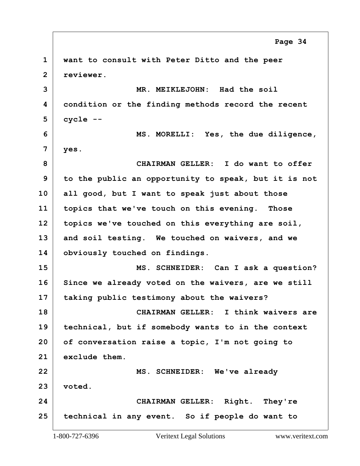<span id="page-33-0"></span> **want to consult with Peter Ditto and the peer reviewer. 3 MR. MEIKLEJOHN: Had the soil condition or the finding methods record the recent cycle -- 6 MS. MORELLI: Yes, the due diligence, yes. 8 CHAIRMAN GELLER: I do want to offer to the public an opportunity to speak, but it is not all good, but I want to speak just about those topics that we've touch on this evening. Those topics we've touched on this everything are soil, and soil testing. We touched on waivers, and we obviously touched on findings. 15 MS. SCHNEIDER: Can I ask a question? Since we already voted on the waivers, are we still taking public testimony about the waivers? 18 CHAIRMAN GELLER: I think waivers are technical, but if somebody wants to in the context of conversation raise a topic, I'm not going to exclude them. 22 MS. SCHNEIDER: We've already voted. 24 CHAIRMAN GELLER: Right. They're technical in any event. So if people do want to Page 34**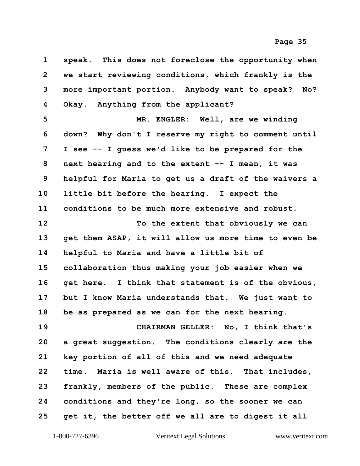<span id="page-34-0"></span>

| $\mathbf 1$    | speak. This does not foreclose the opportunity when  |
|----------------|------------------------------------------------------|
| $\overline{2}$ | we start reviewing conditions, which frankly is the  |
| 3              | more important portion. Anybody want to speak? No?   |
| 4              | Okay. Anything from the applicant?                   |
| 5              | MR. ENGLER: Well, are we winding                     |
| 6              | down? Why don't I reserve my right to comment until  |
| 7              | I see -- I guess we'd like to be prepared for the    |
| 8              | next hearing and to the extent -- I mean, it was     |
| 9              | helpful for Maria to get us a draft of the waivers a |
| 10             | little bit before the hearing. I expect the          |
| 11             | conditions to be much more extensive and robust.     |
| 12             | To the extent that obviously we can                  |
| 13             | get them ASAP, it will allow us more time to even be |
| 14             | helpful to Maria and have a little bit of            |
| 15             | collaboration thus making your job easier when we    |
| 16             | get here. I think that statement is of the obvious,  |
| 17             | but I know Maria understands that. We just want to   |
| 18             | be as prepared as we can for the next hearing.       |
| 19             | CHAIRMAN GELLER: No, I think that's                  |
| 20             | a great suggestion. The conditions clearly are the   |
| 21             | key portion of all of this and we need adequate      |
| 22             | time. Maria is well aware of this. That includes,    |
| 23             | frankly, members of the public. These are complex    |
| 24             | conditions and they're long, so the sooner we can    |
| 25             | get it, the better off we all are to digest it all   |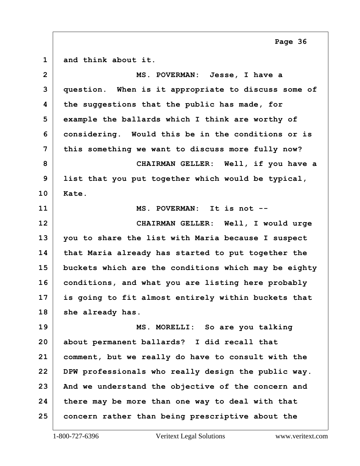<span id="page-35-0"></span>**and think about it.**

| $\overline{2}$ | MS. POVERMAN: Jesse, I have a                        |
|----------------|------------------------------------------------------|
| 3              | question. When is it appropriate to discuss some of  |
| 4              | the suggestions that the public has made, for        |
| 5              | example the ballards which I think are worthy of     |
| 6              | considering. Would this be in the conditions or is   |
| 7              | this something we want to discuss more fully now?    |
| 8              | CHAIRMAN GELLER: Well, if you have a                 |
| 9              | list that you put together which would be typical,   |
| 10             | Kate.                                                |
| 11             | MS. POVERMAN: It is not --                           |
| 12             | CHAIRMAN GELLER: Well, I would urge                  |
| 13             | you to share the list with Maria because I suspect   |
| 14             | that Maria already has started to put together the   |
| 15             | buckets which are the conditions which may be eighty |
| 16             | conditions, and what you are listing here probably   |
| 17             | is going to fit almost entirely within buckets that  |
| 18             | she already has.                                     |
| 19             | MS. MORELLI: So are you talking                      |
| 20             | about permanent ballards? I did recall that          |
| 21             | comment, but we really do have to consult with the   |
| 22             | DPW professionals who really design the public way.  |
| 23             | And we understand the objective of the concern and   |
| 24             | there may be more than one way to deal with that     |
| 25             | concern rather than being prescriptive about the     |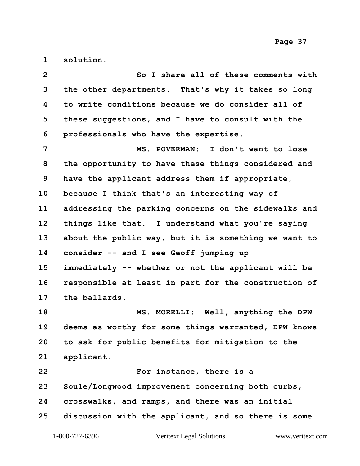<span id="page-36-0"></span>**solution.**

| $\overline{2}$ | So I share all of these comments with                |
|----------------|------------------------------------------------------|
| 3              | the other departments. That's why it takes so long   |
| 4              | to write conditions because we do consider all of    |
| 5              | these suggestions, and I have to consult with the    |
| 6              | professionals who have the expertise.                |
| 7              | MS. POVERMAN: I don't want to lose                   |
| 8              | the opportunity to have these things considered and  |
| 9              | have the applicant address them if appropriate,      |
| 10             | because I think that's an interesting way of         |
| 11             | addressing the parking concerns on the sidewalks and |
| 12             | things like that. I understand what you're saying    |
| 13             | about the public way, but it is something we want to |
| 14             | consider -- and I see Geoff jumping up               |
| 15             | immediately -- whether or not the applicant will be  |
| 16             | responsible at least in part for the construction of |
|                |                                                      |
| 17             | the ballards.                                        |
| 18             | MS. MORELLI: Well, anything the DPW                  |
| 19             | deems as worthy for some things warranted, DPW knows |
| 20             | to ask for public benefits for mitigation to the     |
| 21             | applicant.                                           |
| 22             | For instance, there is a                             |
| 23             | Soule/Longwood improvement concerning both curbs,    |
| 24             | crosswalks, and ramps, and there was an initial      |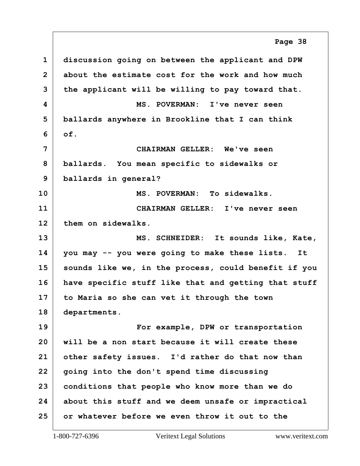<span id="page-37-0"></span> **discussion going on between the applicant and DPW about the estimate cost for the work and how much the applicant will be willing to pay toward that. 4 MS. POVERMAN: I've never seen ballards anywhere in Brookline that I can think of. 7 CHAIRMAN GELLER: We've seen ballards. You mean specific to sidewalks or ballards in general? 10 MS. POVERMAN: To sidewalks. 11 CHAIRMAN GELLER: I've never seen them on sidewalks. 13 MS. SCHNEIDER: It sounds like, Kate, you may -- you were going to make these lists. It sounds like we, in the process, could benefit if you have specific stuff like that and getting that stuff to Maria so she can vet it through the town departments. 19 For example, DPW or transportation will be a non start because it will create these other safety issues. I'd rather do that now than going into the don't spend time discussing conditions that people who know more than we do about this stuff and we deem unsafe or impractical or whatever before we even throw it out to the Page 38**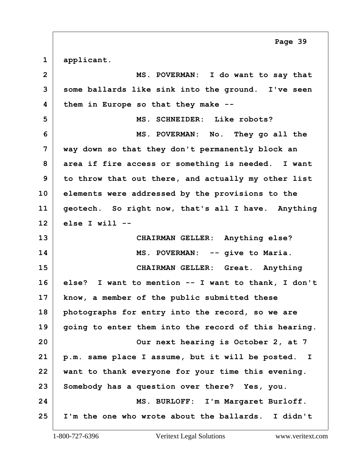<span id="page-38-0"></span>**applicant.**

| $\overline{2}$ | MS. POVERMAN: I do want to say that                              |
|----------------|------------------------------------------------------------------|
| 3              | some ballards like sink into the ground. I've seen               |
| 4              | them in Europe so that they make --                              |
| 5              | MS. SCHNEIDER: Like robots?                                      |
| 6              | MS. POVERMAN: No. They go all the                                |
| 7              | way down so that they don't permanently block an                 |
| 8              | area if fire access or something is needed. I want               |
| 9              | to throw that out there, and actually my other list              |
| 10             | elements were addressed by the provisions to the                 |
| 11             | geotech. So right now, that's all I have. Anything               |
| 12             | else I will $--$                                                 |
| 13             | CHAIRMAN GELLER: Anything else?                                  |
|                |                                                                  |
| 14             | MS. POVERMAN: -- give to Maria.                                  |
| 15             | CHAIRMAN GELLER: Great. Anything                                 |
| 16             | else? I want to mention -- I want to thank, I don't              |
| 17             | know, a member of the public submitted these                     |
| 18             | photographs for entry into the record, so we are                 |
| 19             | going to enter them into the record of this hearing.             |
| 20             | Our next hearing is October 2, at 7                              |
| 21             | p.m. same place I assume, but it will be posted.<br>$\mathbf{I}$ |
| 22             | want to thank everyone for your time this evening.               |
| 23             | Somebody has a question over there? Yes, you.                    |
| 24             | MS. BURLOFF: I'm Margaret Burloff.                               |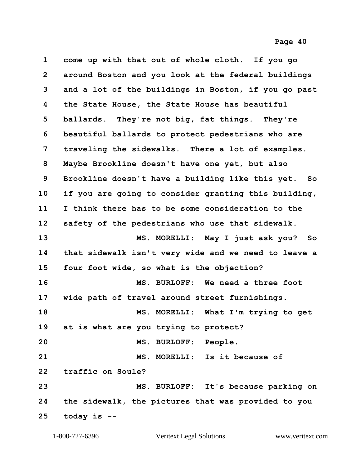<span id="page-39-0"></span>

| $\mathbf 1$    | come up with that out of whole cloth. If you go      |
|----------------|------------------------------------------------------|
| $\overline{2}$ | around Boston and you look at the federal buildings  |
| 3              | and a lot of the buildings in Boston, if you go past |
| 4              | the State House, the State House has beautiful       |
| 5              | ballards. They're not big, fat things. They're       |
| 6              | beautiful ballards to protect pedestrians who are    |
| 7              | traveling the sidewalks. There a lot of examples.    |
| 8              | Maybe Brookline doesn't have one yet, but also       |
| 9              | Brookline doesn't have a building like this yet. So  |
| 10             | if you are going to consider granting this building, |
| 11             | I think there has to be some consideration to the    |
| 12             | safety of the pedestrians who use that sidewalk.     |
| 13             | MS. MORELLI: May I just ask you? So                  |
| 14             | that sidewalk isn't very wide and we need to leave a |
| 15             | four foot wide, so what is the objection?            |
| 16             | MS. BURLOFF: We need a three foot                    |
| 17             | wide path of travel around street furnishings.       |
| 18             | MS. MORELLI: What I'm trying to get                  |
| 19             | at is what are you trying to protect?                |
| 20             | MS. BURLOFF: People.                                 |
| 21             | MS. MORELLI: Is it because of                        |
| 22             | traffic on Soule?                                    |
| 23             | MS. BURLOFF: It's because parking on                 |
| 24             | the sidewalk, the pictures that was provided to you  |
| 25             | today is $-$ -                                       |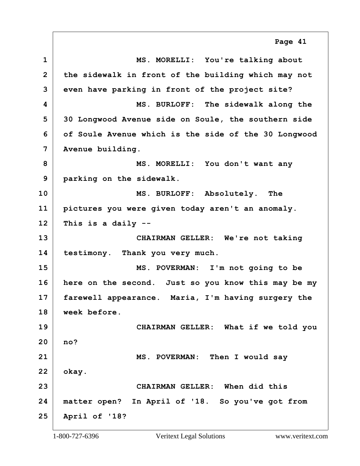<span id="page-40-0"></span>**1 MS. MORELLI: You're talking about the sidewalk in front of the building which may not even have parking in front of the project site? 4 MS. BURLOFF: The sidewalk along the 30 Longwood Avenue side on Soule, the southern side of Soule Avenue which is the side of the 30 Longwood Avenue building.** MS. MORELLI: You don't want any **parking on the sidewalk. 10 MS. BURLOFF: Absolutely. The pictures you were given today aren't an anomaly. This is a daily -- 13 CHAIRMAN GELLER: We're not taking testimony. Thank you very much. 15 MS. POVERMAN: I'm not going to be here on the second. Just so you know this may be my farewell appearance. Maria, I'm having surgery the week before. 19 CHAIRMAN GELLER: What if we told you no? 21 MS. POVERMAN: Then I would say okay. 23 CHAIRMAN GELLER: When did this matter open? In April of '18. So you've got from April of '18? Page 41**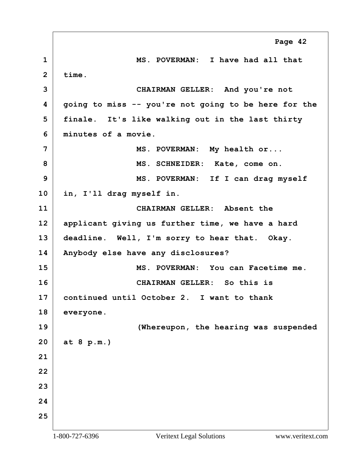<span id="page-41-0"></span>**1 MS. POVERMAN: I have had all that time. 3 CHAIRMAN GELLER: And you're not going to miss -- you're not going to be here for the finale. It's like walking out in the last thirty minutes of a movie.** MS. POVERMAN: My health or... 8 MS. SCHNEIDER: Kate, come on. **9 MS. POVERMAN: If I can drag myself in, I'll drag myself in. 11 CHAIRMAN GELLER: Absent the applicant giving us further time, we have a hard deadline. Well, I'm sorry to hear that. Okay. Anybody else have any disclosures? 15 MS. POVERMAN: You can Facetime me. 16 CHAIRMAN GELLER: So this is continued until October 2. I want to thank everyone. 19 (Whereupon, the hearing was suspended at 8 p.m.) Page 42**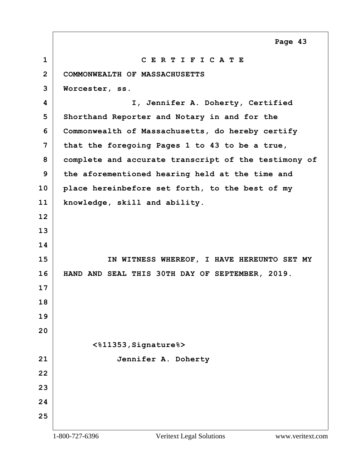<span id="page-42-0"></span>

| $\mathbf 1$    | CERTIFICATE                                          |
|----------------|------------------------------------------------------|
| $\overline{2}$ | COMMONWEALTH OF MASSACHUSETTS                        |
| 3              | Worcester, ss.                                       |
| 4              | I, Jennifer A. Doherty, Certified                    |
| 5              | Shorthand Reporter and Notary in and for the         |
| 6              | Commonwealth of Massachusetts, do hereby certify     |
| $\overline{7}$ | that the foregoing Pages 1 to 43 to be a true,       |
| 8              | complete and accurate transcript of the testimony of |
| 9              | the aforementioned hearing held at the time and      |
| 10             | place hereinbefore set forth, to the best of my      |
| 11             | knowledge, skill and ability.                        |
| 12             |                                                      |
| 13             |                                                      |
| 14             |                                                      |
| 15             | IN WITNESS WHEREOF, I HAVE HEREUNTO SET MY           |
| 16             | HAND AND SEAL THIS 30TH DAY OF SEPTEMBER, 2019.      |
| 17             |                                                      |
| 18             |                                                      |
| 19             |                                                      |
| 20             |                                                      |
|                | <%11353, Signature%>                                 |
| 21             | Jennifer A. Doherty                                  |
| 22             |                                                      |
| 23             |                                                      |
| 24             |                                                      |
| 25             |                                                      |

Г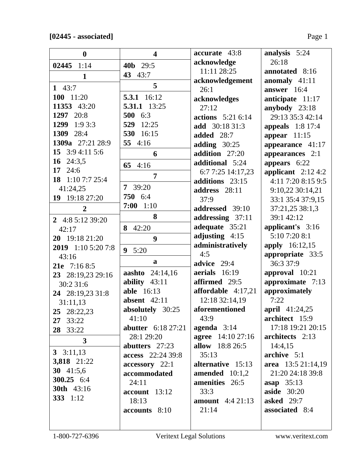| $\boldsymbol{0}$   | $\overline{\mathbf{4}}$   | accurate 43:8            | analysis 5:24           |
|--------------------|---------------------------|--------------------------|-------------------------|
| $02445$ 1:14       | 40b 29:5                  | acknowledge              | 26:18                   |
| $\mathbf{1}$       | 43 43:7                   | 11:11 28:25              | annotated 8:16          |
|                    | 5                         | acknowledgement          | anomaly 41:11           |
| 1 $43:7$           |                           | 26:1                     | answer $16:4$           |
| 100 11:20          | 5.3.1 16:12               | acknowledges             | anticipate 11:17        |
| 11353 43:20        | 5.31.1 13:25              | 27:12                    | anybody $23:18$         |
| 1297 20:8          | 500 6:3                   | <b>actions</b> 5:21 6:14 | 29:13 35:3 42:14        |
| 1299 1:9 3:3       | 12:25<br>529              | add 30:18 31:3           | <b>appeals</b> 1:8 17:4 |
| 1309 28:4          | 530 16:15                 | <b>added</b> 28:7        | appear $11:15$          |
| 1309a 27:21 28:9   | 55 4:16                   | adding $30:25$           | appearance 41:17        |
| 15 3:9 4:11 5:6    | 6                         | addition 27:20           | appearances 2:1         |
| 16 $24:3,5$        | 65 4:16                   | additional 5:24          | appears 6:22            |
| 17 24:6            |                           | 6:7 7:25 14:17,23        | applicant $2:124:2$     |
| 18 1:10 7:7 25:4   | 7                         | additions 23:15          | 4:11 7:20 8:15 9:5      |
| 41:24,25           | $7 \quad 39:20$           | address 28:11            | 9:10,22 30:14,21        |
| 19 19:18 27:20     | 750 6:4                   | 37:9                     | 33:1 35:4 37:9,15       |
| $\overline{2}$     | 7:00<br>1:10              | addressed 39:10          | 37:21,25 38:1,3         |
|                    | 8                         | addressing 37:11         | 39:1 42:12              |
| 2 4:8 5:12 39:20   | 42:20<br>8                | adequate 35:21           | applicant's 3:16        |
| 42:17              |                           | adjusting $4:15$         | 5:10 7:20 8:1           |
| 20 19:18 21:20     | 9                         | administratively         | <b>apply</b> 16:12,15   |
| 2019 1:10 5:20 7:8 | $\boldsymbol{9}$<br>5:20  | 4:5                      | appropriate 33:5        |
| 43:16              | a                         | advice 29:4              | 36:3 37:9               |
| 21e 7:16 8:5       | aashto 24:14,16           | aerials $16:19$          | approval 10:21          |
| 23 28:19,23 29:16  | ability $43:11$           | affirmed 29:5            | approximate 7:13        |
| 30:2 31:6          | <b>able</b> 16:13         | affordable $4:17,21$     | approximately           |
| 24 28:19,23 31:8   | absent $42:11$            | 12:18 32:14,19           | 7:22                    |
| 31:11,13           | absolutely 30:25          | aforementioned           | april 41:24,25          |
| 25 28:22,23        | 41:10                     | 43:9                     | architect 15:9          |
| 27 33:22           | <b>abutter</b> 6:18 27:21 | agenda $3:14$            | 17:18 19:21 20:15       |
| 28 33:22           | 28:1 29:20                | <b>agree</b> 14:10 27:16 | architects 2:13         |
| 3                  |                           | allow 18:8 26:5          |                         |
| 3 $3:11,13$        | abutters 27:23            |                          | 14:4,15                 |
| 3,818 21:22        | access 22:24 39:8         | 35:13                    | archive 5:1             |
| 30 $41:5,6$        | accessory 22:1            | alternative 15:13        | area $13:521:14,19$     |
| 300.25 $6:4$       | accommodated              | amended $10:1,2$         | 21:20 24:18 39:8        |
| <b>30th</b> 43:16  | 24:11                     | amenities 26:5           | asap $35:13$            |
| 333 1:12           | $account$ 13:12           | 33:3                     | <b>aside</b> 30:20      |
|                    | 18:13                     | <b>amount</b> 4:4 21:13  | asked 29:7              |
|                    | accounts 8:10             | 21:14                    | associated 8:4          |
|                    |                           |                          |                         |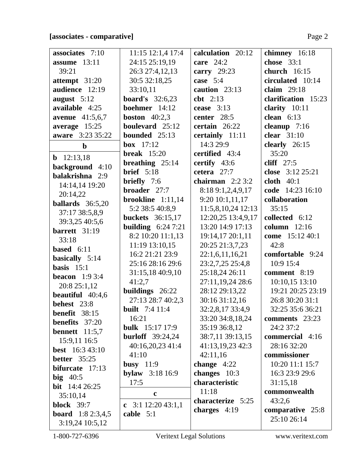| associates 7:10           | 11:15 12:1,4 17:4          | calculation 20:12  | chimney 16:18       |
|---------------------------|----------------------------|--------------------|---------------------|
| assume $13:11$            | 24:15 25:19,19             | care $24:2$        | chose $33:1$        |
| 39:21                     | 26:3 27:4,12,13            | carry $29:23$      | church $16:15$      |
| attempt $31:20$           | 30:5 32:18,25              | case $5:4$         | circulated 10:14    |
| audience 12:19            | 33:10,11                   | caution 23:13      | claim $29:18$       |
| august $5:12$             | <b>board's</b> $32:6,23$   | $\text{cbt}$ 2:13  | clarification 15:23 |
| available 4:25            | boehmer 14:12              | cease $3:13$       | clarity $10:11$     |
| <b>avenue</b> 41:5,6,7    | <b>boston</b> $40:2,3$     | center 28:5        | clean $6:13$        |
| average 15:25             | boulevard 25:12            | certain 26:22      | cleanup $7:16$      |
| aware 3:23 35:22          | bounded 25:13              | certainly 11:11    | clear $31:10$       |
| $\mathbf b$               | <b>box</b> $17:12$         | 14:3 29:9          | clearly 26:15       |
| <b>b</b> $12:13,18$       | <b>break</b> $15:20$       | certified 43:4     | 35:20               |
| background 4:10           | breathing $25:14$          | certify $43:6$     | cliff $27:5$        |
| balakrishna 2:9           | brief $5:18$               | cetera $27:7$      | close $3:12\,25:21$ |
| 14:14,14 19:20            | <b>briefly</b> $7:6$       | chairman $2:23:2$  | cloth $40:1$        |
| 20:14,22                  | broader 27:7               | 8:18 9:1,2,4,9,17  | code 14:23 16:10    |
| ballards $36:5,20$        | brookline $1:11,14$        | 9:2010:1,11,17     | collaboration       |
| 37:17 38:5,8,9            | 5:2 38:5 40:8,9            | 11:5,8,10,24 12:13 | 35:15               |
| 39:3,25 40:5,6            | <b>buckets</b> 36:15,17    | 12:20,25 13:4,9,17 | collected 6:12      |
| barrett $31:19$           | <b>building</b> $6:247:21$ | 13:20 14:9 17:13   | column $12:16$      |
| 33:18                     | 8:2 10:20 11:1,13          | 19:14,17 20:1,11   | come 15:12 40:1     |
| <b>based</b> $6:11$       | 11:19 13:10,15             | 20:25 21:3,7,23    | 42:8                |
| basically 5:14            | 16:2 21:21 23:9            | 22:1,6,11,16,21    | comfortable 9:24    |
| basis $15:1$              | 25:16 28:16 29:6           | 23:2,7,25 25:4,8   | 10:9 15:4           |
| <b>beacon</b> $1:93:4$    | 31:15,18 40:9,10           | 25:18,24 26:11     | comment 8:19        |
| 20:8 25:1,12              | 41:2,7                     | 27:11,19,24 28:6   | 10:10,15 13:10      |
| beautiful $40:4,6$        | buildings 26:22            | 28:12 29:13,22     | 19:21 20:25 23:19   |
| behest 23:8               | 27:13 28:7 40:2,3          | 30:16 31:12,16     | 26:8 30:20 31:1     |
| <b>benefit</b> 38:15      | <b>built</b> $7:4$ 11:4    | 32:2,8,17 33:4,9   | 32:25 35:6 36:21    |
| <b>benefits</b> 37:20     | 16:21                      | 33:20 34:8,18,24   | comments 23:23      |
| bennett $11:5,7$          | <b>bulk</b> $15:17 \ 17:9$ | 35:19 36:8,12      | 24:2 37:2           |
| 15:9,11 16:5              | <b>burloff</b> $39:24,24$  | 38:7,11 39:13,15   | commercial 4:16     |
| <b>best</b> 16:3 43:10    | 40:16,20,23 41:4           | 41:13,19,23 42:3   | 28:16 32:20         |
| <b>better</b> 35:25       | 41:10                      | 42:11,16           | commissioner        |
| bifurcate 17:13           | busy $11:9$                | change $4:22$      | 10:20 11:1 15:7     |
| big $40:5$                | <b>bylaw</b> 3:18 16:9     | changes 10:3       | 16:3 23:9 29:6      |
| <b>bit</b> $14:426:25$    | 17:5                       | characteristic     | 31:15,18            |
| 35:10,14                  | $\mathbf c$                | 11:18              | commonwealth        |
| <b>block</b> 39:7         | c $3:1$ 12:20 43:1,1       | characterize 5:25  | 43:2,6              |
| <b>board</b> $1:82:3,4,5$ | cable $5:1$                | charges $4:19$     | comparative 25:8    |
| 3:19,24 10:5,12           |                            |                    | 25:10 26:14         |
|                           |                            |                    |                     |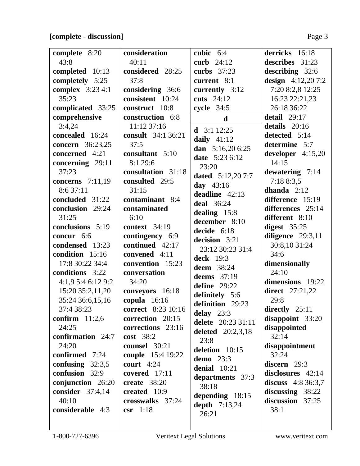# **[complete - discussion]** Page 3

| complete 8:20           | consideration             | cubic $6:4$              | derricks 16:18         |
|-------------------------|---------------------------|--------------------------|------------------------|
| 43:8                    | 40:11                     | curb $24:12$             | describes 31:23        |
| completed 10:13         | considered 28:25          | curbs 37:23              | describing 32:6        |
| completely 5:25         | 37:8                      | current 8:1              | design $4:12,207:2$    |
| <b>complex</b> 3:23 4:1 | considering 36:6          | currently 3:12           | 7:20 8:2,8 12:25       |
| 35:23                   | consistent 10:24          | cuts 24:12               | 16:23 22:21,23         |
| complicated 33:25       | construct 10:8            | cycle 34:5               | 26:18 36:22            |
| comprehensive           | construction 6:8          | $\mathbf d$              | detail $29:17$         |
| 3:4,24                  | 11:12 37:16               | <b>d</b> $3:112:25$      | details 20:16          |
| concealed 16:24         | consult 34:1 36:21        |                          | detected 5:14          |
| <b>concern</b> 36:23,25 | 37:5                      | daily $41:12$            | determine 5:7          |
| concerned 4:21          | consultant 5:10           | dan $5:16,206:25$        | developer 4:15,20      |
| concerning 29:11        | 8:1 29:6                  | <b>date</b> 5:23 6:12    | 14:15                  |
| 37:23                   | consultation 31:18        | 23:20                    | dewatering 7:14        |
| concerns 7:11,19        | consulted 29:5            | <b>dated</b> 5:12,20 7:7 | 7:188:3,5              |
| 8:6 37:11               | 31:15                     | day $43:16$              | dhanda $2:12$          |
| concluded 31:22         | contaminant 8:4           | deadline $42:13$         | difference 15:19       |
| conclusion 29:24        | contaminated              | <b>deal</b> 36:24        | differences 25:14      |
| 31:25                   | 6:10                      | dealing $15:8$           | different 8:10         |
| conclusions 5:19        | <b>context</b> 34:19      | december 8:10            | digest $35:25$         |
| concur 6:6              | contingency 6:9           | decide 6:18              | diligence 29:3,11      |
| condensed 13:23         | continued 42:17           | decision 3:21            | 30:8,10 31:24          |
| condition 15:16         | convened 4:11             | 23:12 30:23 31:4         | 34:6                   |
| 17:8 30:22 34:4         | convention 15:23          | <b>deck</b> 19:3         | dimensionally          |
| conditions 3:22         | conversation              | <b>deem</b> 38:24        | 24:10                  |
| 4:1,9 5:4 6:12 9:2      | 34:20                     | deems 37:19              | dimensions 19:22       |
| 15:20 35:2,11,20        | conveyors 16:18           | define $29:22$           | <b>direct</b> 27:21,22 |
| 35:24 36:6,15,16        | copula 16:16              | definitely 5:6           | 29:8                   |
| 37:4 38:23              | <b>correct</b> 8:23 10:16 | definition 29:23         | directly $25:11$       |
| confirm $11:2,6$        | correction 20:15          | delay $23:3$             | $disappoint$ 33:20     |
| 24:25                   | corrections 23:16         | delete 20:23 31:11       | disappointed           |
| confirmation 24:7       | cost 38:2                 | deleted 20:2,3,18        | 32:14                  |
| 24:20                   | counsel 30:21             | 23:8                     | disappointment         |
| confirmed 7:24          | <b>couple</b> 15:4 19:22  | deletion 10:15           | 32:24                  |
| confusing $32:3,5$      | court $4:24$              | demo 23:3                | discern 29:3           |
| confusion 32:9          | covered $17:11$           | denial 10:21             | disclosures 42:14      |
| conjunction 26:20       | create $38:20$            | departments 37:3         | discuss $4:836:3,7$    |
| consider 37:4,14        | created 10:9              | 38:18                    | discussing $38:22$     |
| 40:10                   | crosswalks 37:24          | depending $18:15$        | discussion 37:25       |
| considerable 4:3        | $\text{csr}$ 1:18         | depth $7:13,24$          | 38:1                   |
|                         |                           | 26:21                    |                        |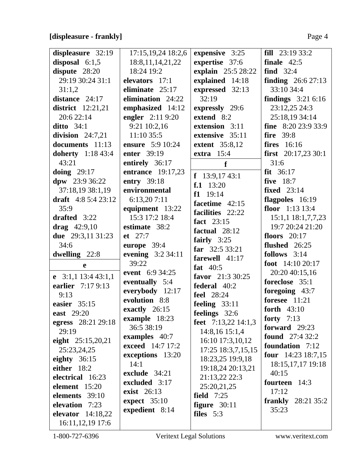# **[displeasure - frankly]** Page 4

| displeasure 32:19        | 17:15, 19, 24 18:2, 6        | expensive 3:25        | <b>fill</b> $23:193:3:2$      |
|--------------------------|------------------------------|-----------------------|-------------------------------|
| disposal $6:1,5$         | 18:8, 11, 14, 21, 22         | expertise 37:6        | finale $42:5$                 |
| dispute 28:20            | 18:24 19:2                   | explain 25:5 28:22    | find $32:4$                   |
| 29:19 30:24 31:1         | elevators 17:1               | explained 14:18       | <b>finding</b> $26:627:13$    |
| 31:1,2                   | eliminate $25:17$            | expressed 32:13       | 33:10 34:4                    |
| distance 24:17           | elimination 24:22            | 32:19                 | findings $3:216:16$           |
| <b>district</b> 12:21,21 | emphasized 14:12             | expressly 29:6        | 23:12,25 24:3                 |
| 20:6 22:14               | engler 2:11 9:20             | extend 8:2            | 25:18,19 34:14                |
| ditto $34:1$             | 9:21 10:2,16                 | extension 3:11        | fine $8:2023:933:9$           |
| division $24:7,21$       | 11:10 35:5                   | extensive 35:11       | <b>fire</b> 39:8              |
| documents 11:13          | ensure 5:9 10:24             | <b>extent</b> 35:8,12 | <b>fires</b> 16:16            |
| <b>doherty</b> 1:18 43:4 | enter 39:19                  | extra $15:4$          | first $20:17,2330:1$          |
| 43:21                    | entirely 36:17               | f                     | 31:6                          |
| doing $29:17$            | <b>entrance</b> 19:17,23     |                       | $fit$ 36:17                   |
| $dpw$ 23:9 36:22         | entry 39:18                  | f $13:9,1743:1$       | <b>five</b> 18:7              |
| 37:18,19 38:1,19         | environmental                | $f.1 \quad 13:20$     | <b>fixed</b> 23:14            |
| draft $4:85:423:12$      | 6:13,207:11                  | $f1 \quad 19:14$      | flagpoles 16:19               |
| 35:9                     | equipment 13:22              | facetime $42:15$      | floor $1:13$ 13:4             |
| drafted 3:22             | 15:3 17:2 18:4               | facilities 22:22      | 15:1,1 18:1,7,7,23            |
|                          |                              | fact 23:15            | 19:7 20:24 21:20              |
| drag $42:9,10$           | estimate 38:2<br>$et \ 27:7$ | factual 28:12         |                               |
| due 29:3,11 31:23        |                              | fairly $3:25$         | floors $20:17$                |
| 34:6                     | europe 39:4                  | far $32:533:21$       | flushed $26:25$               |
| dwelling 22:8            | evening 3:2 34:11            | farewell 41:17        | follows $3:14$                |
| e                        | 39:22                        | fat $40:5$            | foot $14:1020:17$             |
| e $3:1,1$ 13:4 43:1,1    | event 6:9 34:25              | favor 21:3 30:25      | 20:20 40:15,16                |
| earlier 7:17 9:13        | eventually 5:4               | federal 40:2          | foreclose 35:1                |
| 9:13                     | everybody 12:17              | <b>feel</b> 28:24     | foregoing 43:7                |
| easier $35:15$           | evolution 8:8                | feeling $33:11$       | foresee 11:21                 |
| east 29:20               | exactly 26:15                | feelings 32:6         | forth 43:10                   |
| egress 28:21 29:18       | example 18:23                | feet 7:13,22 14:1,3   | forty $7:13$                  |
| 29:19                    | 36:5 38:19                   | 14:8,16 15:1,4        | forward $29:23$               |
| eight $25:15,20,21$      | examples 40:7                | 16:10 17:3,10,12      | <b>found</b> $27:432:2$       |
| 25:23,24,25              | exceed 14:7 17:2             | 17:25 18:3,7,15,15    | foundation 7:12               |
| eighty $36:15$           | exceptions 13:20             | 18:23,25 19:9,18      | <b>four</b> $14:23$ $18:7,15$ |
| either 18:2              | 14:1                         | 19:18,24 20:13,21     | 18:15, 17, 17 19:18           |
| electrical 16:23         | exclude 34:21                | 21:13,22 22:3         | 40:15                         |
| element 15:20            | excluded 3:17                | 25:20,21,25           | fourteen 14:3                 |
| elements 39:10           | <b>exist</b> 26:13           | field $7:25$          | 17:12                         |
| elevation 7:23           | expect $35:10$               | figure $30:11$        | <b>frankly</b> $28:2135:2$    |
| elevator $14:18,22$      | expedient 8:14               | files 5:3             | 35:23                         |
| 16:11,12,19 17:6         |                              |                       |                               |
|                          |                              |                       |                               |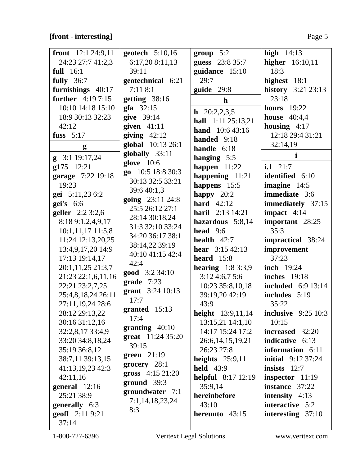# **[front - interesting]** Page 5

| front $12:124:9,11$      | geotech $5:10,16$      | group 5:2                    | high $14:13$              |
|--------------------------|------------------------|------------------------------|---------------------------|
| 24:23 27:7 41:2,3        | 6:17,20 8:11,13        | guess 23:8 35:7              | higher $16:10,11$         |
| full $16:1$              | 39:11                  | guidance 15:10               | 18:3                      |
| fully $36:7$             | geotechnical 6:21      | 29:7                         | highest 18:1              |
| furnishings 40:17        | 7:118:1                | guide $29:8$                 | <b>history</b> 3:21 23:13 |
| <b>further</b> 4:19 7:15 | getting 38:16          | $\mathbf h$                  | 23:18                     |
| 10:10 14:18 15:10        | $\mathbf{gfa}$ 32:15   |                              | <b>hours</b> 19:22        |
| 18:9 30:13 32:23         | give 39:14             | $h$ 20:2,2,3,5               | house $40:4,4$            |
| 42:12                    | given $41:11$          | hall 1:11 25:13,21           | housing $4:17$            |
| fuss $5:17$              | giving $42:12$         | <b>hand</b> 10:6 43:16       | 12:18 29:4 31:21          |
|                          | global 10:13 26:1      | handed 9:18                  | 32:14,19                  |
| g                        | globally 33:11         | handle $6:18$                | $\mathbf{i}$              |
| $g$ 3:1 19:17,24         | glove $10:6$           | hanging 5:5                  |                           |
| g175 12:21               | go 10:5 18:8 30:3      | happen $11:22$               | i.1 $21:7$                |
| garage 7:22 19:18        | 30:13 32:5 33:21       | happening 11:21              | <b>identified</b> 6:10    |
| 19:23                    | 39:6 40:1,3            | happens 15:5                 | imagine $14:5$            |
| gei 5:11,23 6:2          | going 23:11 24:8       | happy $20:2$                 | immediate 3:6             |
| $gei's$ 6:6              | 25:5 26:12 27:1        | hard $42:12$                 | immediately 37:15         |
| geller 2:2 3:2,6         |                        | <b>haril</b> $2:13 \; 14:21$ | impact $4:14$             |
| 8:18 9:1,2,4,9,17        | 28:14 30:18,24         | hazardous 5:8,14             | important 28:25           |
| $10:1,11,17$ 11:5,8      | 31:3 32:10 33:24       | head $9:6$                   | 35:3                      |
| 11:24 12:13,20,25        | 34:20 36:17 38:1       | health $42:7$                | impractical 38:24         |
| 13:4,9,17,20 14:9        | 38:14,22 39:19         | <b>hear</b> $3:15\,42:13$    | improvement               |
| 17:13 19:14,17           | 40:10 41:15 42:4       | heard $15:8$                 | 37:23                     |
| 20:1,11,25 21:3,7        | 42:4                   | <b>hearing</b> $1:83:3,9$    | <b>inch</b> 19:24         |
| 21:23 22:1,6,11,16       | <b>good</b> $3:234:10$ | $3:12\,4:6,7\,5:6$           | <b>inches</b> 19:18       |
| 22:21 23:2,7,25          | $grade$ 7:23           | 10:23 35:8,10,18             | <b>included</b> 6:9 13:14 |
| 25:4,8,18,24 26:11       | grant 3:24 10:13       | 39:19,20 42:19               | includes 5:19             |
| 27:11,19,24 28:6         | 17:7                   | 43:9                         | 35:22                     |
| 28:12 29:13,22           | granted 15:13          | height 13:9,11,14            | inclusive $9:25$ 10:3     |
| 30:16 31:12,16           | 17:4                   | 13:15,21 14:1,10             | 10:15                     |
| 32:2,8,17 33:4,9         | granting $40:10$       | 14:17 15:24 17:2             | increased 32:20           |
| 33:20 34:8,18,24         | great 11:24 35:20      | 26:6, 14, 15, 19, 21         | <b>indicative</b> 6:13    |
| 35:19 36:8,12            | 39:15                  | 26:23 27:8                   | information 6:11          |
| 38:7,11 39:13,15         | green $21:19$          | heights $25:9,11$            | <b>initial</b> 9:12 37:24 |
| 41:13,19,23 42:3         | grocery $28:1$         | <b>held</b> 43:9             | insists $12:7$            |
| 42:11,16                 | gross 4:15 21:20       | <b>helpful</b> 8:17 12:19    | inspector 11:19           |
| general 12:16            | $ground$ 39:3          | 35:9,14                      | instance 37:22            |
| 25:21 38:9               | groundwater 7:1        | hereinbefore                 | intensity $4:13$          |
| generally 6:3            | 7:1,14,18,23,24        | 43:10                        | interactive 5:2           |
| geoff 2:11 9:21          | 8:3                    | hereunto $43:15$             | interesting $37:10$       |
| 37:14                    |                        |                              |                           |
|                          |                        |                              |                           |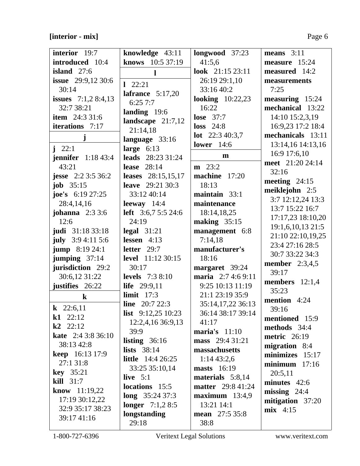| interior 19:7              | knowledge 43:11            | longwood 37:23           | means $3:11$                         |
|----------------------------|----------------------------|--------------------------|--------------------------------------|
| introduced 10:4            | knows 10:5 37:19           | 41:5,6                   | measure 15:24                        |
| island $27:6$              | l                          | look 21:15 23:11         | measured 14:2                        |
| <b>issue</b> 29:9,12 30:6  | $1 \quad 22:21$            | 26:19 29:1,10            | measurements                         |
| 30:14                      |                            | 33:16 40:2               | 7:25                                 |
| issues $7:1,28:4,13$       | lafrance $5:17,20$         | looking $10:22,23$       | $measuring 15:24$                    |
| 32:7 38:21                 | 6:257:7                    | 16:22                    | mechanical 13:22                     |
| <b>item</b> 24:3 31:6      | landing $19:6$             | lose $37:7$              | 14:10 15:2,3,19                      |
| iterations 7:17            | landscape $21:7,12$        | $loss$ 24:8              | 16:9,23 17:2 18:4                    |
|                            | 21:14,18                   | <b>lot</b> $22:340:3,7$  | mechanicals 13:11                    |
| j                          | language 33:16             | <b>lower</b> 14:6        | 13:14,16 14:13,16                    |
| $i \t 22:1$                | large $6:13$               |                          | 16:9 17:6,10                         |
| <b>jennifer</b> $1:1843:4$ | <b>leads</b> 28:23 31:24   | m                        | meet 21:20 24:14                     |
| 43:21                      | lease $28:14$              | $m \quad 23:2$           | 32:16                                |
| <b>jesse</b> 2:2 3:5 36:2  | leases 28:15,15,17         | machine 17:20            | meeting $24:15$                      |
| <b>job</b> $35:15$         | <b>leave</b> 29:21 30:3    | 18:13                    | meiklejohn 2:5                       |
| joe's $6:19\,27:25$        | 33:12 40:14                | maintain $33:1$          |                                      |
| 28:4,14,16                 | leeway $14:4$              | maintenance              | 3:7 12:12,24 13:3<br>13:7 15:22 16:7 |
| <b>johanna</b> 2:3 3:6     | <b>left</b> 3:6,7 5:5 24:6 | 18:14,18,25              |                                      |
| 12:6                       | 24:19                      | making $35:15$           | 17:17,23 18:10,20                    |
| judi 31:18 33:18           | $\text{legal } 31:21$      | management 6:8           | 19:1,6,10,13 21:5                    |
| july $3:94:115:6$          | lessen $4:13$              | 7:14,18                  | 21:10 22:10,19,25                    |
| <b>jump</b> 8:19 24:1      | letter $29:7$              | manufacturer's           | 23:4 27:16 28:5                      |
| jumping $37:14$            | level 11:12 30:15          | 18:16                    | 30:7 33:22 34:3                      |
| jurisdiction 29:2          | 30:17                      | margaret 39:24           | <b>member</b> 2:3,4,5                |
| 30:6,12 31:22              | <b>levels</b> $7:38:10$    | maria 2:7 4:6 9:11       | 39:17                                |
| justifies 26:22            | life 29:9,11               | 9:25 10:13 11:19         | members $12:1,4$                     |
| $\bf k$                    | limit $17:3$               | 21:1 23:19 35:9          | 35:23                                |
|                            | <b>line</b> $20:722:3$     | 35:14,17,22 36:13        | mention 4:24                         |
| <b>k</b> 22:6,11           | <b>list</b> $9:12,2510:23$ | 36:14 38:17 39:14        | 39:16                                |
| $k1$ 22:12                 | 12:2,4,16 36:9,13          | 41:17                    | mentioned 15:9                       |
| $k2$ 22:12                 | 39:9                       | maria's $11:10$          | methods 34:4                         |
| <b>kate</b> 2:4 3:8 36:10  | listing $36:16$            | mass 29:4 31:21          | metric $26:19$                       |
| 38:13 42:8                 | lists $38:14$              | massachusetts            | migration 8:4                        |
| <b>keep</b> 16:13 17:9     | <b>little</b> $14:426:25$  | 1:1443:2,6               | minimizes 15:17                      |
| 27:1 31:8                  | 33:25 35:10,14             | <b>masts</b> 16:19       | $minimum$ 17:16                      |
| <b>key</b> 35:21           | live $5:1$                 | materials 5:8,14         | 20:5,11                              |
| $\textbf{kill}$ 31:7       | locations 15:5             | <b>matter</b> 29:8 41:24 | minutes 42:6                         |
| know 11:19,22              | <b>long</b> $35:2437:3$    | $maximum$ 13:4,9         | missing $24:4$                       |
| 17:19 30:12,22             |                            |                          | mitigation 37:20                     |
| 32:9 35:17 38:23           | <b>longer</b> $7:1,28:5$   | 13:21 14:1               | $mix$ 4:15                           |
| 39:17 41:16                | longstanding               | <b>mean</b> 27:5 35:8    |                                      |
|                            | 29:18                      | 38:8                     |                                      |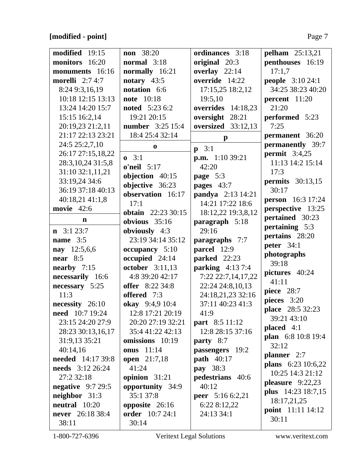| modified 19:15          | <b>non</b> 38:20          | ordinances 3:18         | <b>pelham</b> 25:13,21   |
|-------------------------|---------------------------|-------------------------|--------------------------|
| monitors 16:20          | normal 3:18               | original 20:3           | penthouses 16:19         |
| monuments 16:16         | normally 16:21            | overlay $22:14$         | 17:1,7                   |
| morelli $2:74:7$        | notary $43:5$             | override 14:22          | <b>people</b> 3:10 24:1  |
| 8:24 9:3,16,19          | notation 6:6              | 17:15,25 18:2,12        | 34:25 38:23 40:20        |
| 10:18 12:15 13:13       | <b>note</b> 10:18         | 19:5,10                 | percent 11:20            |
| 13:24 14:20 15:7        | <b>noted</b> 5:23 6:2     | overrides 14:18,23      | 21:20                    |
| 15:15 16:2,14           | 19:21 20:15               | oversight 28:21         | performed 5:23           |
| 20:19,23 21:2,11        | <b>number</b> 3:25 15:4   | oversized 33:12,13      | 7:25                     |
| 21:17 22:13 23:21       | 18:4 25:4 32:14           | $\mathbf{p}$            | permanent 36:20          |
| 24:5 25:2,7,10          | $\bf{0}$                  |                         | permanently 39:7         |
| 26:17 27:15,18,22       |                           | $p \quad 3:1$           | permit $3:4,25$          |
| 28:3, 10, 24 31:5, 8    | $0 \quad 3:1$             | <b>p.m.</b> $1:1039:21$ | 11:13 14:2 15:14         |
| 31:10 32:1,11,21        | $o'neil$ 5:17             | 42:20                   | 17:3                     |
| 33:19,24 34:6           | objection 40:15           | page $5:3$              | permits $30:13,15$       |
| 36:19 37:18 40:13       | objective 36:23           | pages 43:7              | 30:17                    |
| 40:18,21 41:1,8         | observation 16:17         | pandya 2:13 14:21       | <b>person</b> 16:3 17:24 |
| movie $42:6$            | 17:1                      | 14:21 17:22 18:6        | perspective 13:25        |
| $\mathbf n$             | <b>obtain</b> 22:23 30:15 | 18:12,22 19:3,8,12      | pertained 30:23          |
|                         | obvious $35:16$           | paragraph 5:18          | pertaining 5:3           |
| $\mathbf{n}$ 3:1 23:7   | obviously 4:3             | 29:16                   | pertains 28:20           |
| name $3:5$              | 23:19 34:14 35:12         | paragraphs 7:7          | peter $34:1$             |
| nay 12:5,6,6            | occupancy 5:10            | parcel 12:9             | photographs              |
| near $8:5$              | occupied 24:14            | parked 22:23            | 39:18                    |
| nearby $7:15$           | october 3:11,13           | parking $4:137:4$       | pictures 40:24           |
| necessarily 16:6        | 4:8 39:20 42:17           | 7:22 22:7,14,17,22      | 41:11                    |
| necessary 5:25          | <b>offer</b> 8:22 34:8    | 22:24 24:8,10,13        | piece $28:7$             |
| 11:3                    | offered 7:3               | 24:18,21,23 32:16       | pieces 3:20              |
| necessity 26:10         | okay 9:4,9 10:4           | 37:11 40:23 41:3        | place 28:5 32:23         |
| <b>need</b> 10:7 19:24  | 12:8 17:21 20:19          | 41:9                    | 39:21 43:10              |
| 23:15 24:20 27:9        | 20:20 27:19 32:21         | <b>part</b> 8:5 11:12   | placed $4:1$             |
| 28:23 30:13,16,17       | 35:441:2242:13            | 12:8 28:15 37:16        | plan 6:8 10:8 19:4       |
| 31:9,13 35:21           | omissions 10:19           | <b>party</b> $8:7$      | 32:12                    |
| 40:14,16                | <b>onus</b> 11:14         | passengers 19:2         | planner $2:7$            |
| needed 14:17 39:8       | open 21:7,18              | <b>path</b> 40:17       | plans $6:23 \ 10:6,22$   |
| <b>needs</b> 3:12 26:24 | 41:24                     | pay 38:3                | 10:25 14:3 21:12         |
| 27:2 32:18              | opinion $31:21$           | pedestrians 40:6        | pleasure $9:22,23$       |
| negative $9:729:5$      | opportunity 34:9          | 40:12                   | plus 14:23 18:7,15       |
| neighbor 31:3           | 35:1 37:8                 | <b>peer</b> 5:16 6:2,21 | 18:17,21,25              |
| neutral 10:20           | opposite $26:16$          | 6:22 8:12,22            | point 11:11 14:12        |
| <b>never</b> 26:18 38:4 | <b>order</b> 10:7 24:1    | 24:13 34:1              | 30:11                    |
| 38:11                   | 30:14                     |                         |                          |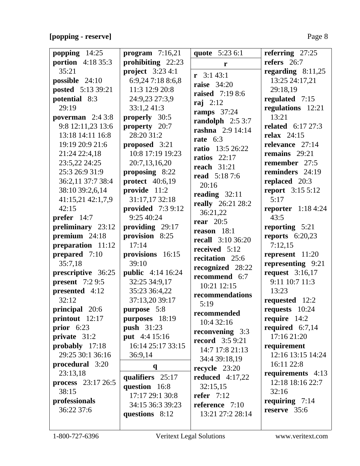# **[popping - reserve]** Page 8

| popping 14:25            | program $7:16,21$        | quote 5:23 6:1           | referring $27:25$        |
|--------------------------|--------------------------|--------------------------|--------------------------|
|                          |                          |                          | refers $26:7$            |
| <b>portion</b> 4:18 35:3 | prohibiting 22:23        | r                        |                          |
| 35:21                    | project $3:234:1$        | $\mathbf{r}$ 3:1 43:1    | regarding $8:11,25$      |
| possible 24:10           | 6:9,24 7:18 8:6,8        | <b>raise</b> 34:20       | 13:25 24:17,21           |
| posted 5:13 39:21        | 11:3 12:9 20:8           | <b>raised</b> 7:19 8:6   | 29:18,19                 |
| potential 8:3            | 24:9,23 27:3,9           | raj $2:12$               | regulated 7:15           |
| 29:19                    | 33:1,241:3               | ramps $37:24$            | regulations 12:21        |
| poverman $2:43:8$        | properly 30:5            | randolph $2:53:7$        | 13:21                    |
| 9:8 12:11,23 13:6        | property 20:7            |                          | <b>related</b> 6:17 27:3 |
| 13:18 14:11 16:8         | 28:20 31:2               | rashna 2:9 14:14         | relax $24:15$            |
| 19:19 20:9 21:6          | proposed 3:21            | rate $6:3$               | relevance 27:14          |
| 21:24 22:4,18            | 10:8 17:19 19:23         | <b>ratio</b> 13:5 26:22  | remains $29:21$          |
| 23:5,22 24:25            | 20:7,13,16,20            | ratios $22:17$           | remember 27:5            |
| 25:3 26:9 31:9           | proposing 8:22           | <b>reach</b> 31:21       | reminders 24:19          |
| 36:2,11 37:7 38:4        |                          | <b>read</b> 5:18 7:6     |                          |
|                          | <b>protect</b> 40:6,19   | 20:16                    | replaced 20:3            |
| 38:10 39:2,6,14          | provide 11:2             | reading $32:11$          | <b>report</b> 3:15 5:12  |
| 41:15,21 42:1,7,9        | 31:17,17 32:18           | really 26:21 28:2        | 5:17                     |
| 42:15                    | provided 7:3 9:12        | 36:21,22                 | reporter $1:184:24$      |
| <b>prefer</b> $14:7$     | 9:25 40:24               | rear $20:5$              | 43:5                     |
| preliminary 23:12        | providing 29:17          | reason 18:1              | reporting 5:21           |
| premium $24:18$          | provision 8:25           | <b>recall</b> 3:10 36:20 | reports $6:20,23$        |
| preparation 11:12        | 17:14                    | received 5:12            | 7:12,15                  |
| prepared 7:10            | provisions 16:15         | recitation 25:6          | represent 11:20          |
| 35:7,18                  | 39:10                    |                          | representing 9:21        |
| prescriptive 36:25       | <b>public</b> 4:14 16:24 | recognized 28:22         | request $3:16,17$        |
| present $7:29:5$         | 32:25 34:9,17            | recommend 6:7            | 9:11 10:7 11:3           |
| presented 4:12           | 35:23 36:4,22            | 10:21 12:15              | 13:23                    |
| 32:12                    | 37:13,20 39:17           | recommendations          | requested 12:2           |
| principal 20:6           | purpose 5:8              | 5:19                     | requests 10:24           |
| printout 12:17           | purposes 18:19           | recommended              | require $14:2$           |
|                          |                          | 10:4 32:16               |                          |
| prior $6:23$             | <b>push</b> 31:23        | reconvening 3:3          | required $6:7,14$        |
| private 31:2             | put 4:4 15:16            | <b>record</b> $3:59:21$  | 17:16 21:20              |
| probably 17:18           | 16:14 25:17 33:15        | 14:7 17:8 21:13          | requirement              |
| 29:25 30:1 36:16         | 36:9,14                  | 34:4 39:18,19            | 12:16 13:15 14:24        |
| procedural 3:20          | $\mathbf{q}$             | recycle 23:20            | 16:11 22:8               |
| 23:13,18                 | qualifiers 25:17         | reduced $4:17,22$        | requirements 4:13        |
| process 23:17 26:5       | question 16:8            | 32:15,15                 | 12:18 18:16 22:7         |
| 38:15                    | 17:17 29:1 30:8          | refer $7:12$             | 32:16                    |
| professionals            | 34:15 36:3 39:23         | reference 7:10           | requiring 7:14           |
| 36:22 37:6               |                          |                          | reserve 35:6             |
|                          | questions 8:12           | 13:21 27:2 28:14         |                          |
|                          |                          |                          |                          |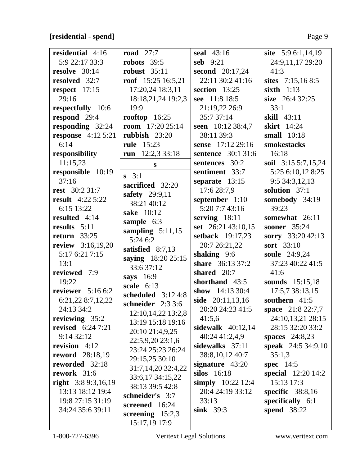# **[residential - spend]** Page 9

| residential 4:16          | <b>road</b> 27:7                 | seal 43:16          | site 5:9 6:1,14,19        |
|---------------------------|----------------------------------|---------------------|---------------------------|
| 5:9 22:17 33:3            | robots $39:5$                    | seb $9:21$          | 24:9,11,17 29:20          |
| resolve $30:14$           | robust $35:11$                   | second $20:17,24$   | 41:3                      |
| resolved 32:7             | roof $15:25 16:5,21$             | 22:11 30:2 41:16    | sites 7:15,16 8:5         |
| respect 17:15             | 17:20,24 18:3,11                 | section $13:25$     | sixth $1:13$              |
| 29:16                     | 18:18,21,24 19:2,3               | see 11:8 18:5       | size 26:4 32:25           |
| respectfully 10:6         | 19:9                             | 21:19,22 26:9       | 33:1                      |
| respond 29:4              | rooftop $16:25$                  | 35:7 37:14          | skill 43:11               |
| responding 32:24          | room $17:20$ 25:14               | seen 10:12 38:4,7   | <b>skirt</b> 14:24        |
| <b>response</b> 4:12 5:21 | rubbish $23:20$                  | 38:11 39:3          | small 10:18               |
| 6:14                      | <b>rule</b> 15:23                | sense 17:12 29:16   | smokestacks               |
| responsibility            | 12:2,3 33:18<br>run              | sentence 30:1 31:6  | 16:18                     |
| 11:15,23                  | S                                | sentences 30:2      | soil 3:15 5:7,15,24       |
| responsible 10:19         |                                  | sentiment 33:7      | 5:25 6:10,12 8:25         |
| 37:16                     | $s \quad 3:1$                    | separate $13:15$    | 9:5 34:3,12,13            |
| <b>rest</b> 30:2 31:7     | sacrificed 32:20                 | 17:6 28:7,9         | solution 37:1             |
| <b>result</b> 4:22 5:22   | safety 29:9,11                   | september 1:10      | somebody 34:19            |
| 6:15 13:22                | 38:21 40:12                      | 5:20 7:7 43:16      | 39:23                     |
| resulted 4:14             | sake 10:12                       | serving $18:11$     | somewhat 26:11            |
| results 5:11              | sample 6:3                       | set 26:21 43:10,15  | <b>sooner</b> 35:24       |
| 33:25<br>return           | sampling $5:11,15$               | setback 19:17,23    | sorry 33:20 42:13         |
| review 3:16,19,20         | 5:246:2                          | 20:7 26:21,22       | sort 33:10                |
| 5:17 6:21 7:15            | satisfied $8:7,13$               | shaking 9:6         | soule 24:9,24             |
| 13:1                      | saying 18:20 25:15<br>33:6 37:12 | share 36:13 37:2    | 37:23 40:22 41:5          |
| reviewed 7:9              | says $16:9$                      | shared 20:7         | 41:6                      |
| 19:22                     | scale $6:13$                     | shorthand 43:5      | sounds 15:15,18           |
| reviewer $5:166:2$        | scheduled $3:124:8$              | show $14:1330:4$    | 17:5,7 38:13,15           |
| 6:21,22 8:7,12,22         | schneider 2:3 3:6                | side 20:11,13,16    | southern 41:5             |
| 24:13 34:2                | 12:10,14,22 13:2,8               | 20:20 24:23 41:5    | space 21:8 22:7,7         |
| reviewing 35:2            | 13:19 15:18 19:16                | 41:5,6              | 24:10,13,21 28:15         |
| <b>revised</b> $6:247:21$ | 20:10 21:4,9,25                  | sidewalk $40:12,14$ | 28:15 32:20 33:2          |
| 9:14 32:12                | 22:5,9,20 23:1,6                 | 40:24 41:2,4,9      | <b>spaces</b> 24:8,23     |
| revision $4:12$           | 23:24 25:23 26:24                | sidewalks 37:11     | <b>speak</b> 24:5 34:9,10 |
| <b>reword</b> 28:18,19    | 29:15,25 30:10                   | 38:8, 10, 12 40:7   | 35:1,3                    |
| reworded 32:18            | 31:7,14,20 32:4,22               | signature 43:20     | spec $14:5$               |
| rework 31:6               | 33:6,17 34:15,22                 | silos 16:18         | <b>special</b> 12:20 14:2 |
| right $3:89:3,16,19$      | 38:13 39:5 42:8                  | simply 10:22 12:4   | 15:13 17:3                |
| 13:13 18:12 19:4          | schneider's 3:7                  | 20:4 24:19 33:12    | specific $38:8,16$        |
| 19:8 27:15 31:19          | screened 16:24                   | 33:13               | specifically 6:1          |
| 34:24 35:6 39:11          | screening $15:2,3$               | sink $39:3$         | <b>spend</b> 38:22        |
|                           | 15:17,19 17:9                    |                     |                           |
|                           |                                  |                     |                           |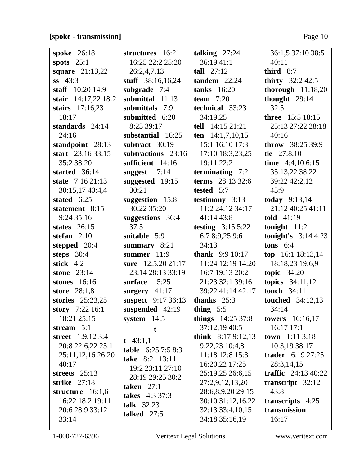# **[spoke - transmission]** Page 10

| <b>spoke</b> 26:18     | structures 16:21          | talking $27:24$        | 36:1,5 37:10 38:5        |
|------------------------|---------------------------|------------------------|--------------------------|
| spots $25:1$           | 16:25 22:2 25:20          | 36:1941:1              | 40:11                    |
| <b>square</b> 21:13,22 | 26:2,4,7,13               | tall $27:12$           | third $8:7$              |
| $ss$ 43:3              | stuff 38:16,16,24         | tandem $22:24$         | <b>thirty</b> $32:242:5$ |
| staff 10:20 14:9       | subgrade 7:4              | tanks $16:20$          | thorough $11:18,20$      |
| stair 14:17,22 18:2    | submittal 11:13           | team $7:20$            | thought $29:14$          |
| stairs $17:16,23$      | submittals 7:9            | technical 33:23        | 32:5                     |
| 18:17                  | submitted 6:20            | 34:19,25               | three 15:5 18:15         |
| standards 24:14        | 8:23 39:17                | tell 14:15 21:21       | 25:13 27:22 28:18        |
| 24:16                  | substantial 16:25         | ten $14:1,7,10,15$     | 40:16                    |
| standpoint 28:13       | subtract 30:19            | 15:1 16:10 17:3        | throw 38:25 39:9         |
| start 23:16 33:15      | subtractions 23:16        | 17:10 18:3,23,25       | tie 27:8,10              |
| 35:2 38:20             | sufficient 14:16          | 19:11 22:2             | time $4:4,106:15$        |
| started 36:14          | suggest $17:14$           | terminating $7:21$     | 35:13,22 38:22           |
| state 7:16 21:13       | suggested 19:15           | terms 28:13 32:6       | 39:22 42:2,12            |
| 30:15,17 40:4,4        | 30:21                     | tested 5:7             | 43:9                     |
| stated 6:25            | suggestion 15:8           | testimony $3:13$       | <b>today</b> $9:13,14$   |
| statement 8:15         | 30:22 35:20               | 11:2 24:12 34:17       | 21:12 40:25 41:11        |
| 9:24 35:16             | suggestions 36:4          | 41:14 43:8             | told $41:19$             |
| states $26:15$         | 37:5                      | testing $3:155:22$     | tonight $11:2$           |
| stefan $2:10$          | suitable 5:9              | 6:7 8:9,25 9:6         | tonight's $3:144:23$     |
| stepped 20:4           | summary 8:21              | 34:13                  | tons $6:4$               |
| steps $30:4$           | summer $11:9$             | <b>thank</b> 9:9 10:17 | top 16:1 18:13,14        |
| stick $4:2$            | sure $12:5,2021:17$       | 11:24 12:19 14:20      | 18:18,23 19:6,9          |
| stone $23:14$          | 23:14 28:13 33:19         | 16:7 19:13 20:2        | topic $34:20$            |
| stones $16:16$         | surface $15:25$           | 21:23 32:1 39:16       | topics $34:11,12$        |
| store 28:1,8           | surgery 41:17             | 39:22 41:14 42:17      | touch 34:11              |
| stories 25:23,25       | <b>suspect</b> 9:17 36:13 | thanks $25:3$          | <b>touched</b> 34:12,13  |
| story 7:22 16:1        | suspended 42:19           | thing $5:5$            | 34:14                    |
| 18:21 25:15            | system $14:5$             | things 14:25 37:8      | towers $16:16,17$        |
| stream $5:1$           | t                         | 37:12,19 40:5          | $16:17$ 17:1             |
| street $1:9,123:4$     | t $43:1,1$                | think $8:179:12,13$    | <b>town</b> $1:113:18$   |
| 20:8 22:6,22 25:1      | table $6:257:58:3$        | 9:22,23 10:4,8         | 10:3,19 38:17            |
| 25:11,12,16 26:20      | take 8:21 13:11           | 11:18 12:8 15:3        | trader 6:19 27:25        |
| 40:17                  | 19:2 23:11 27:10          | 16:20,22 17:25         | 28:3,14,15               |
| streets $25:13$        | 28:19 29:25 30:2          | 25:19,25 26:6,15       | traffic $24:13\,40:22$   |
| strike 27:18           | taken $27:1$              | 27:2,9,12,13,20        | transcript $32:12$       |
| structure $16:1,6$     | <b>takes</b> 4:3 37:3     | 28:6,8,9,20 29:15      | 43:8                     |
| 16:22 18:2 19:11       | talk 32:23                | 30:10 31:12,16,22      | transcripts $4:25$       |
| 20:6 28:9 33:12        |                           | 32:13 33:4,10,15       | transmission             |
| 33:14                  | talked $27:5$             | 34:18 35:16,19         | 16:17                    |
|                        |                           |                        |                          |